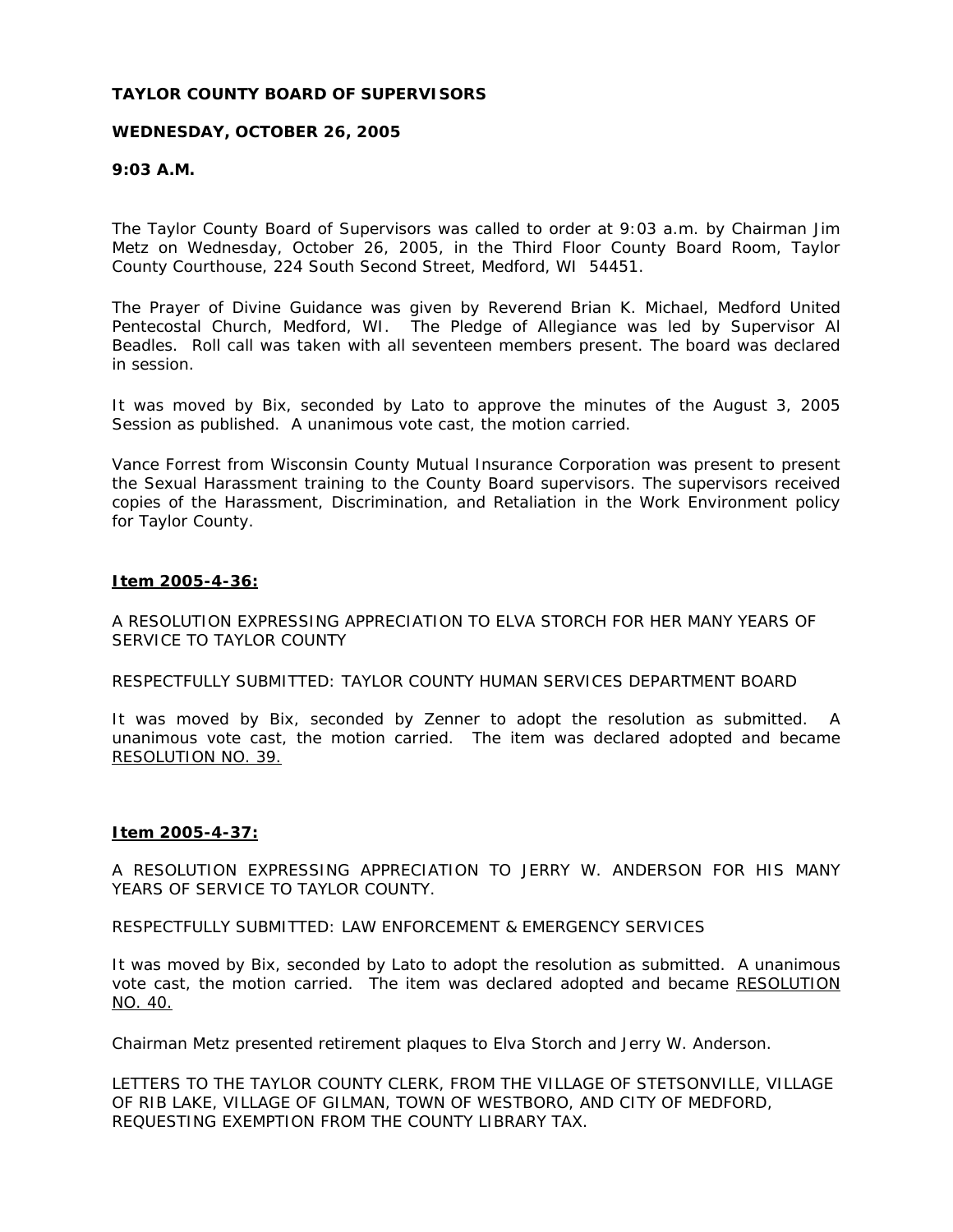# **TAYLOR COUNTY BOARD OF SUPERVISORS**

# **WEDNESDAY, OCTOBER 26, 2005**

# **9:03 A.M.**

The Taylor County Board of Supervisors was called to order at 9:03 a.m. by Chairman Jim Metz on Wednesday, October 26, 2005, in the Third Floor County Board Room, Taylor County Courthouse, 224 South Second Street, Medford, WI 54451.

The Prayer of Divine Guidance was given by Reverend Brian K. Michael, Medford United Pentecostal Church, Medford, WI. The Pledge of Allegiance was led by Supervisor Al Beadles. Roll call was taken with all seventeen members present. The board was declared in session.

It was moved by Bix, seconded by Lato to approve the minutes of the August 3, 2005 Session as published. A unanimous vote cast, the motion carried.

Vance Forrest from Wisconsin County Mutual Insurance Corporation was present to present the Sexual Harassment training to the County Board supervisors. The supervisors received copies of the Harassment, Discrimination, and Retaliation in the Work Environment policy for Taylor County.

# **Item 2005-4-36:**

A RESOLUTION EXPRESSING APPRECIATION TO ELVA STORCH FOR HER MANY YEARS OF SERVICE TO TAYLOR COUNTY

RESPECTFULLY SUBMITTED: TAYLOR COUNTY HUMAN SERVICES DEPARTMENT BOARD

It was moved by Bix, seconded by Zenner to adopt the resolution as submitted. A unanimous vote cast, the motion carried. The item was declared adopted and became RESOLUTION NO. 39.

# **Item 2005-4-37:**

A RESOLUTION EXPRESSING APPRECIATION TO JERRY W. ANDERSON FOR HIS MANY YEARS OF SERVICE TO TAYLOR COUNTY.

RESPECTFULLY SUBMITTED: LAW ENFORCEMENT & EMERGENCY SERVICES

It was moved by Bix, seconded by Lato to adopt the resolution as submitted. A unanimous vote cast, the motion carried. The item was declared adopted and became RESOLUTION NO. 40.

Chairman Metz presented retirement plaques to Elva Storch and Jerry W. Anderson.

LETTERS TO THE TAYLOR COUNTY CLERK, FROM THE VILLAGE OF STETSONVILLE, VILLAGE OF RIB LAKE, VILLAGE OF GILMAN, TOWN OF WESTBORO, AND CITY OF MEDFORD, REQUESTING EXEMPTION FROM THE COUNTY LIBRARY TAX.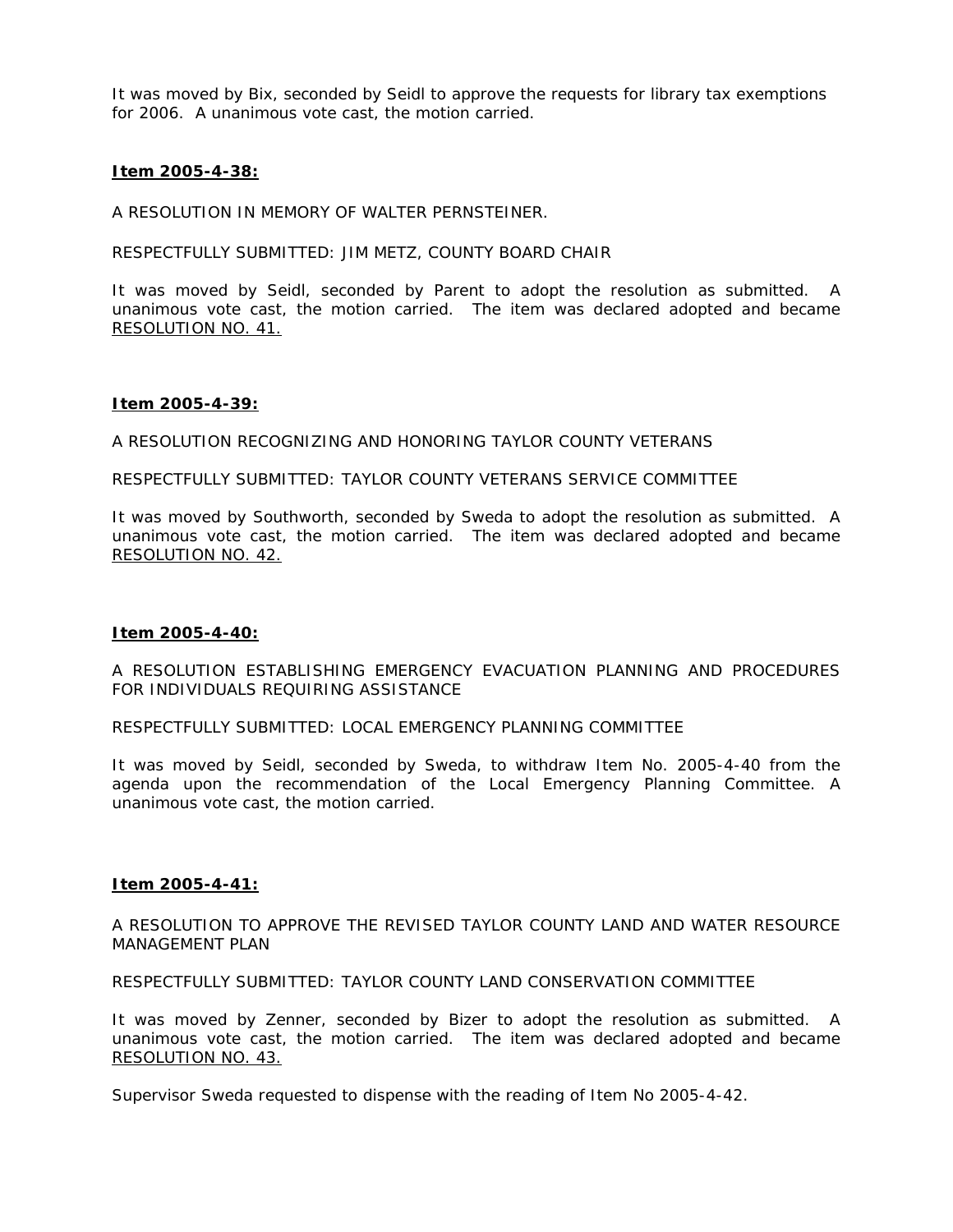It was moved by Bix, seconded by Seidl to approve the requests for library tax exemptions for 2006. A unanimous vote cast, the motion carried.

# **Item 2005-4-38:**

A RESOLUTION IN MEMORY OF WALTER PERNSTEINER.

RESPECTFULLY SUBMITTED: JIM METZ, COUNTY BOARD CHAIR

It was moved by Seidl, seconded by Parent to adopt the resolution as submitted. A unanimous vote cast, the motion carried. The item was declared adopted and became RESOLUTION NO. 41.

#### **Item 2005-4-39:**

A RESOLUTION RECOGNIZING AND HONORING TAYLOR COUNTY VETERANS

RESPECTFULLY SUBMITTED: TAYLOR COUNTY VETERANS SERVICE COMMITTEE

It was moved by Southworth, seconded by Sweda to adopt the resolution as submitted. A unanimous vote cast, the motion carried. The item was declared adopted and became RESOLUTION NO. 42.

# **Item 2005-4-40:**

A RESOLUTION ESTABLISHING EMERGENCY EVACUATION PLANNING AND PROCEDURES FOR INDIVIDUALS REQUIRING ASSISTANCE

RESPECTFULLY SUBMITTED: LOCAL EMERGENCY PLANNING COMMITTEE

It was moved by Seidl, seconded by Sweda, to withdraw Item No. 2005-4-40 from the agenda upon the recommendation of the Local Emergency Planning Committee. A unanimous vote cast, the motion carried.

#### **Item 2005-4-41:**

A RESOLUTION TO APPROVE THE REVISED TAYLOR COUNTY LAND AND WATER RESOURCE MANAGEMENT PLAN

RESPECTFULLY SUBMITTED: TAYLOR COUNTY LAND CONSERVATION COMMITTEE

It was moved by Zenner, seconded by Bizer to adopt the resolution as submitted. A unanimous vote cast, the motion carried. The item was declared adopted and became RESOLUTION NO. 43.

Supervisor Sweda requested to dispense with the reading of Item No 2005-4-42.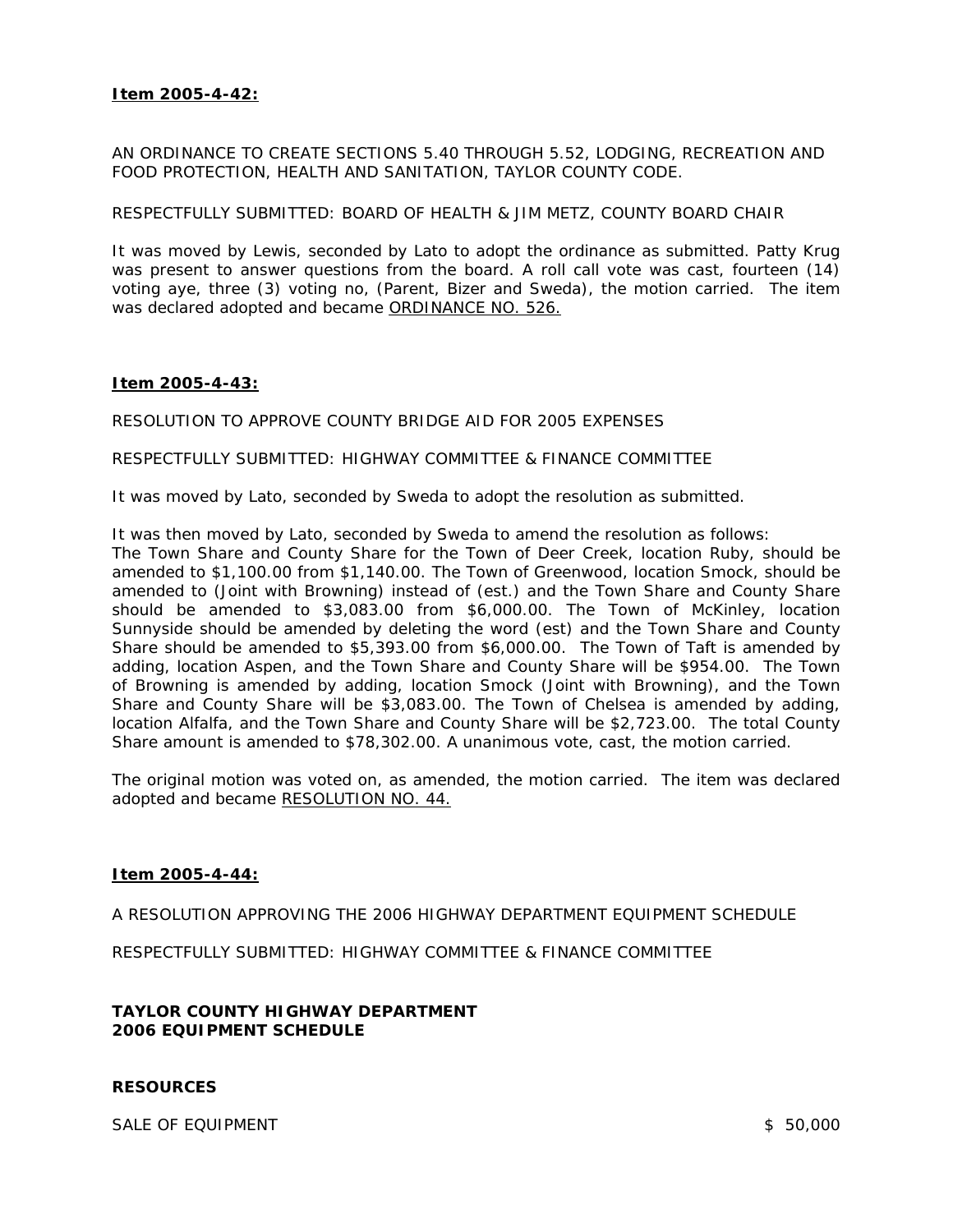# **Item 2005-4-42:**

AN ORDINANCE TO CREATE SECTIONS 5.40 THROUGH 5.52, LODGING, RECREATION AND FOOD PROTECTION, HEALTH AND SANITATION, TAYLOR COUNTY CODE.

### RESPECTFULLY SUBMITTED: BOARD OF HEALTH & JIM METZ, COUNTY BOARD CHAIR

It was moved by Lewis, seconded by Lato to adopt the ordinance as submitted. Patty Krug was present to answer questions from the board. A roll call vote was cast, fourteen (14) voting aye, three (3) voting no, (Parent, Bizer and Sweda), the motion carried. The item was declared adopted and became ORDINANCE NO. 526.

# **Item 2005-4-43:**

RESOLUTION TO APPROVE COUNTY BRIDGE AID FOR 2005 EXPENSES

RESPECTFULLY SUBMITTED: HIGHWAY COMMITTEE & FINANCE COMMITTEE

It was moved by Lato, seconded by Sweda to adopt the resolution as submitted.

It was then moved by Lato, seconded by Sweda to amend the resolution as follows:

The Town Share and County Share for the Town of Deer Creek, location Ruby, should be amended to \$1,100.00 from \$1,140.00. The Town of Greenwood, location Smock, should be amended to (Joint with Browning) instead of (est.) and the Town Share and County Share should be amended to \$3,083.00 from \$6,000.00. The Town of McKinley, location Sunnyside should be amended by deleting the word (est) and the Town Share and County Share should be amended to \$5,393.00 from \$6,000.00. The Town of Taft is amended by adding, location Aspen, and the Town Share and County Share will be \$954.00. The Town of Browning is amended by adding, location Smock (Joint with Browning), and the Town Share and County Share will be \$3,083.00. The Town of Chelsea is amended by adding, location Alfalfa, and the Town Share and County Share will be \$2,723.00. The total County Share amount is amended to \$78,302.00. A unanimous vote, cast, the motion carried.

The original motion was voted on, as amended, the motion carried. The item was declared adopted and became RESOLUTION NO. 44.

# **Item 2005-4-44:**

A RESOLUTION APPROVING THE 2006 HIGHWAY DEPARTMENT EQUIPMENT SCHEDULE

RESPECTFULLY SUBMITTED: HIGHWAY COMMITTEE & FINANCE COMMITTEE

# **TAYLOR COUNTY HIGHWAY DEPARTMENT 2006 EQUIPMENT SCHEDULE**

# **RESOURCES**

SALE OF EQUIPMENT SALE OF EQUIPMENT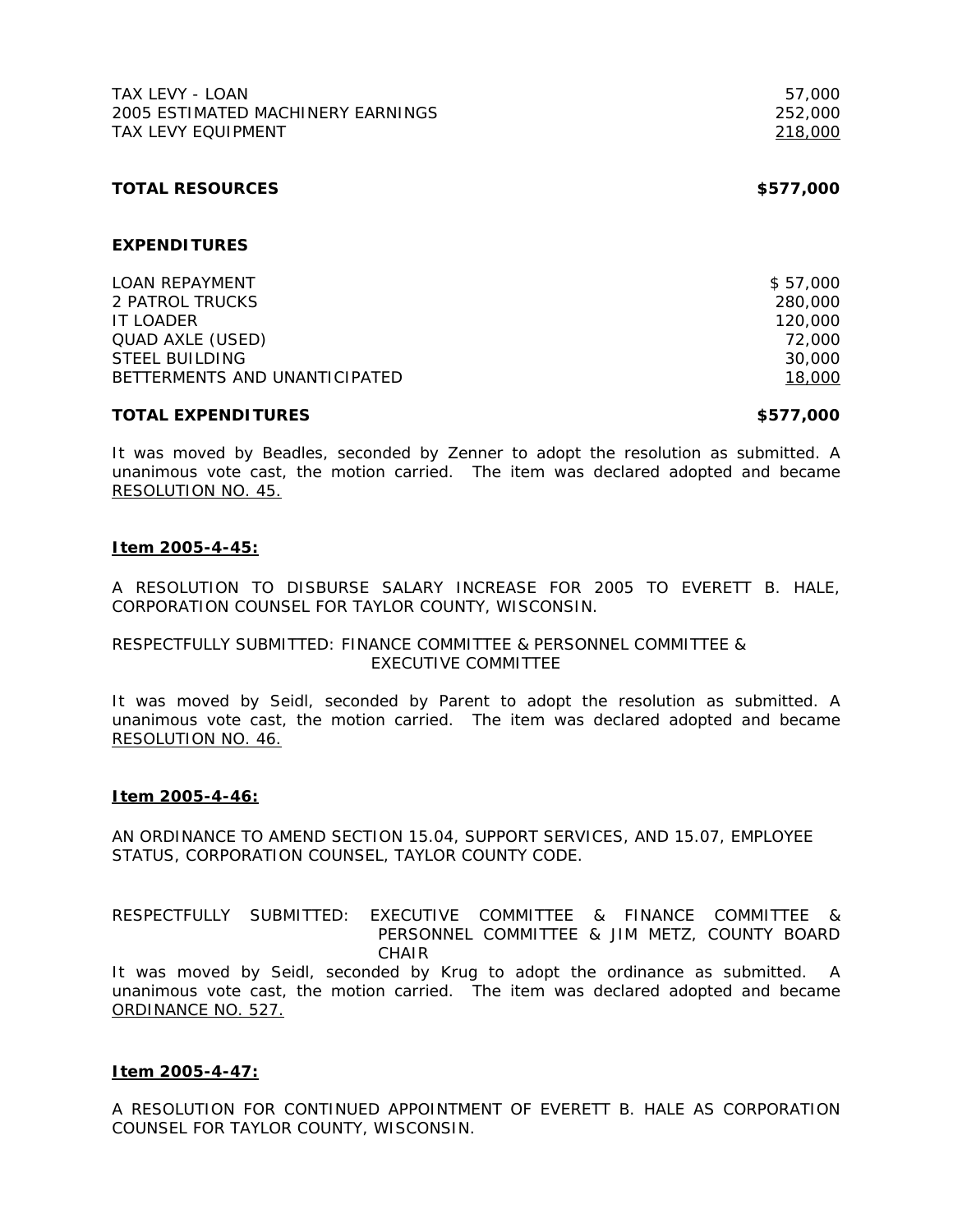| TAX LEVY - LOAN                   | 57,000    |
|-----------------------------------|-----------|
| 2005 ESTIMATED MACHINERY EARNINGS | 252,000   |
| <b>TAX LEVY EQUIPMENT</b>         | 218,000   |
| <b>TOTAL RESOURCES</b>            | \$577,000 |
| <b>EXPENDITURES</b>               |           |
| <b>LOAN REPAYMENT</b>             | \$57,000  |
| 2 PATROL TRUCKS                   | 280,000   |
| <b>IT LOADER</b>                  | 120,000   |
| <b>QUAD AXLE (USED)</b>           | 72,000    |
| <b>STEEL BUILDING</b>             | 30,000    |
| BETTERMENTS AND UNANTICIPATED     | 18,000    |

### **TOTAL EXPENDITURES \$577,000**

It was moved by Beadles, seconded by Zenner to adopt the resolution as submitted. A unanimous vote cast, the motion carried. The item was declared adopted and became RESOLUTION NO. 45.

# **Item 2005-4-45:**

A RESOLUTION TO DISBURSE SALARY INCREASE FOR 2005 TO EVERETT B. HALE, CORPORATION COUNSEL FOR TAYLOR COUNTY, WISCONSIN.

# RESPECTFULLY SUBMITTED: FINANCE COMMITTEE & PERSONNEL COMMITTEE & EXECUTIVE COMMITTEE

It was moved by Seidl, seconded by Parent to adopt the resolution as submitted. A unanimous vote cast, the motion carried. The item was declared adopted and became RESOLUTION NO. 46.

# **Item 2005-4-46:**

AN ORDINANCE TO AMEND SECTION 15.04, SUPPORT SERVICES, AND 15.07, EMPLOYEE STATUS, CORPORATION COUNSEL, TAYLOR COUNTY CODE.

# RESPECTFULLY SUBMITTED: EXECUTIVE COMMITTEE & FINANCE COMMITTEE & PERSONNEL COMMITTEE & JIM METZ, COUNTY BOARD CHAIR

It was moved by Seidl, seconded by Krug to adopt the ordinance as submitted. A unanimous vote cast, the motion carried. The item was declared adopted and became ORDINANCE NO. 527.

# **Item 2005-4-47:**

A RESOLUTION FOR CONTINUED APPOINTMENT OF EVERETT B. HALE AS CORPORATION COUNSEL FOR TAYLOR COUNTY, WISCONSIN.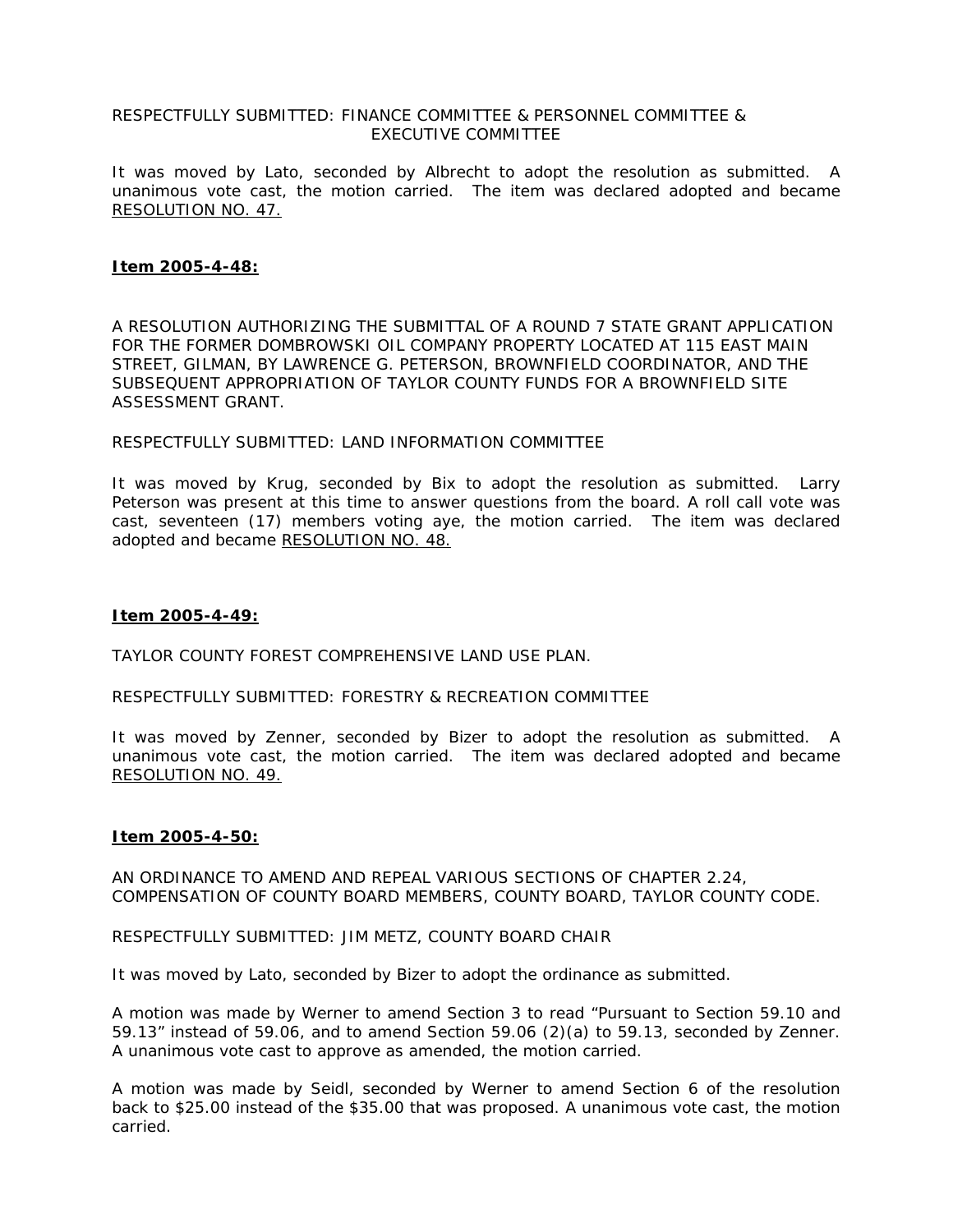# RESPECTFULLY SUBMITTED: FINANCE COMMITTEE & PERSONNEL COMMITTEE & EXECUTIVE COMMITTEE

It was moved by Lato, seconded by Albrecht to adopt the resolution as submitted. A unanimous vote cast, the motion carried. The item was declared adopted and became RESOLUTION NO. 47.

# **Item 2005-4-48:**

A RESOLUTION AUTHORIZING THE SUBMITTAL OF A ROUND 7 STATE GRANT APPLICATION FOR THE FORMER DOMBROWSKI OIL COMPANY PROPERTY LOCATED AT 115 EAST MAIN STREET, GILMAN, BY LAWRENCE G. PETERSON, BROWNFIELD COORDINATOR, AND THE SUBSEQUENT APPROPRIATION OF TAYLOR COUNTY FUNDS FOR A BROWNFIELD SITE ASSESSMENT GRANT.

# RESPECTFULLY SUBMITTED: LAND INFORMATION COMMITTEE

It was moved by Krug, seconded by Bix to adopt the resolution as submitted. Larry Peterson was present at this time to answer questions from the board. A roll call vote was cast, seventeen (17) members voting aye, the motion carried. The item was declared adopted and became RESOLUTION NO. 48.

# **Item 2005-4-49:**

TAYLOR COUNTY FOREST COMPREHENSIVE LAND USE PLAN.

# RESPECTFULLY SUBMITTED: FORESTRY & RECREATION COMMITTEE

It was moved by Zenner, seconded by Bizer to adopt the resolution as submitted. A unanimous vote cast, the motion carried. The item was declared adopted and became RESOLUTION NO. 49.

# **Item 2005-4-50:**

AN ORDINANCE TO AMEND AND REPEAL VARIOUS SECTIONS OF CHAPTER 2.24, COMPENSATION OF COUNTY BOARD MEMBERS, COUNTY BOARD, TAYLOR COUNTY CODE.

RESPECTFULLY SUBMITTED: JIM METZ, COUNTY BOARD CHAIR

It was moved by Lato, seconded by Bizer to adopt the ordinance as submitted.

A motion was made by Werner to amend Section 3 to read "Pursuant to Section 59.10 and 59.13" instead of 59.06, and to amend Section 59.06 (2)(a) to 59.13, seconded by Zenner. A unanimous vote cast to approve as amended, the motion carried.

A motion was made by Seidl, seconded by Werner to amend Section 6 of the resolution back to \$25.00 instead of the \$35.00 that was proposed. A unanimous vote cast, the motion carried.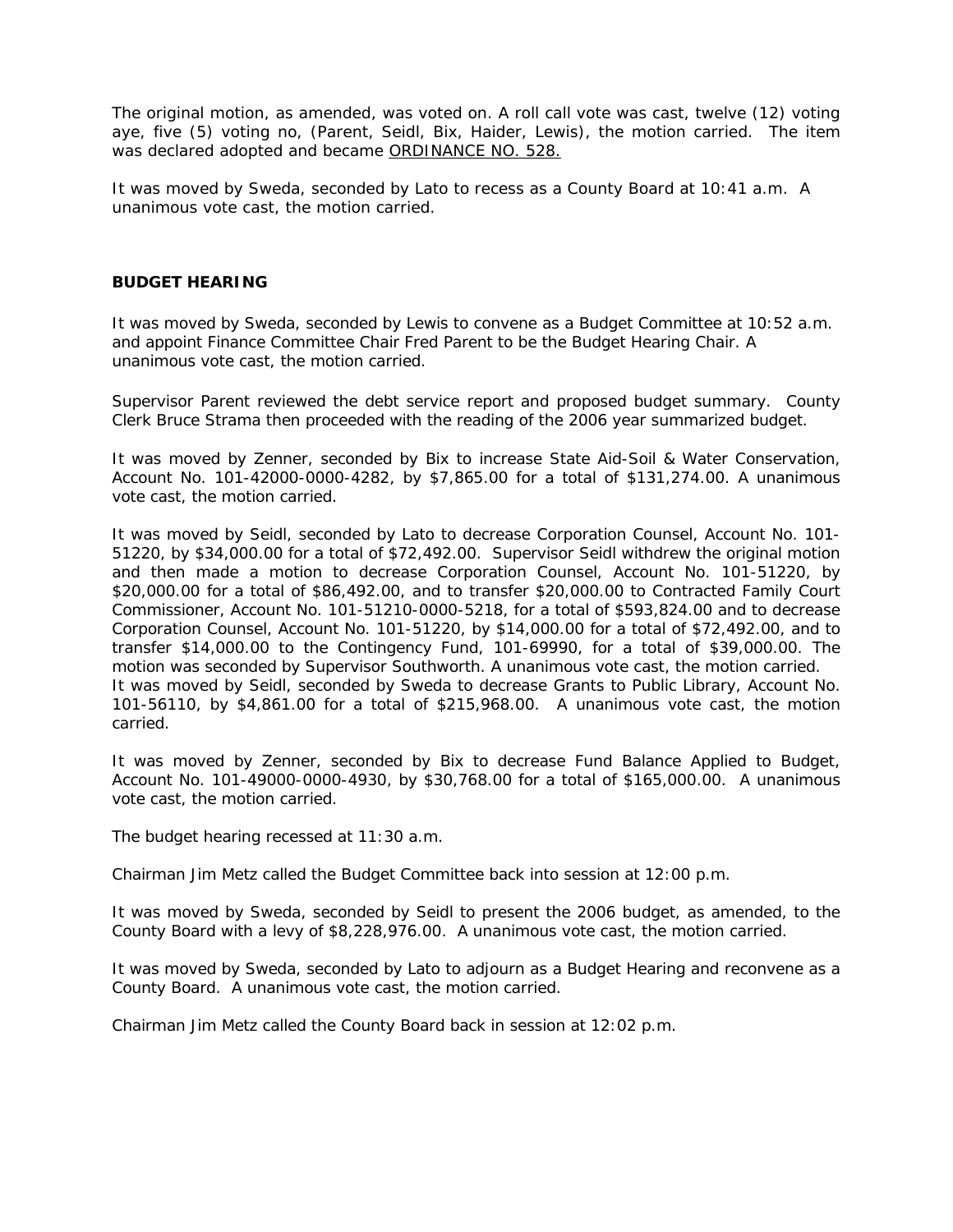The original motion, as amended, was voted on. A roll call vote was cast, twelve (12) voting aye, five (5) voting no, (Parent, Seidl, Bix, Haider, Lewis), the motion carried. The item was declared adopted and became ORDINANCE NO. 528.

It was moved by Sweda, seconded by Lato to recess as a County Board at 10:41 a.m. A unanimous vote cast, the motion carried.

### **BUDGET HEARING**

It was moved by Sweda, seconded by Lewis to convene as a Budget Committee at 10:52 a.m. and appoint Finance Committee Chair Fred Parent to be the Budget Hearing Chair. A unanimous vote cast, the motion carried.

Supervisor Parent reviewed the debt service report and proposed budget summary. County Clerk Bruce Strama then proceeded with the reading of the 2006 year summarized budget.

It was moved by Zenner, seconded by Bix to increase State Aid-Soil & Water Conservation, Account No. 101-42000-0000-4282, by \$7,865.00 for a total of \$131,274.00. A unanimous vote cast, the motion carried.

It was moved by Seidl, seconded by Lato to decrease Corporation Counsel, Account No. 101- 51220, by \$34,000.00 for a total of \$72,492.00. Supervisor Seidl withdrew the original motion and then made a motion to decrease Corporation Counsel, Account No. 101-51220, by \$20,000.00 for a total of \$86,492.00, and to transfer \$20,000.00 to Contracted Family Court Commissioner, Account No. 101-51210-0000-5218, for a total of \$593,824.00 and to decrease Corporation Counsel, Account No. 101-51220, by \$14,000.00 for a total of \$72,492.00, and to transfer \$14,000.00 to the Contingency Fund, 101-69990, for a total of \$39,000.00. The motion was seconded by Supervisor Southworth. A unanimous vote cast, the motion carried. It was moved by Seidl, seconded by Sweda to decrease Grants to Public Library, Account No. 101-56110, by \$4,861.00 for a total of \$215,968.00. A unanimous vote cast, the motion carried.

It was moved by Zenner, seconded by Bix to decrease Fund Balance Applied to Budget, Account No. 101-49000-0000-4930, by \$30,768.00 for a total of \$165,000.00. A unanimous vote cast, the motion carried.

The budget hearing recessed at 11:30 a.m.

Chairman Jim Metz called the Budget Committee back into session at 12:00 p.m.

It was moved by Sweda, seconded by Seidl to present the 2006 budget, as amended, to the County Board with a levy of \$8,228,976.00. A unanimous vote cast, the motion carried.

It was moved by Sweda, seconded by Lato to adjourn as a Budget Hearing and reconvene as a County Board. A unanimous vote cast, the motion carried.

Chairman Jim Metz called the County Board back in session at 12:02 p.m.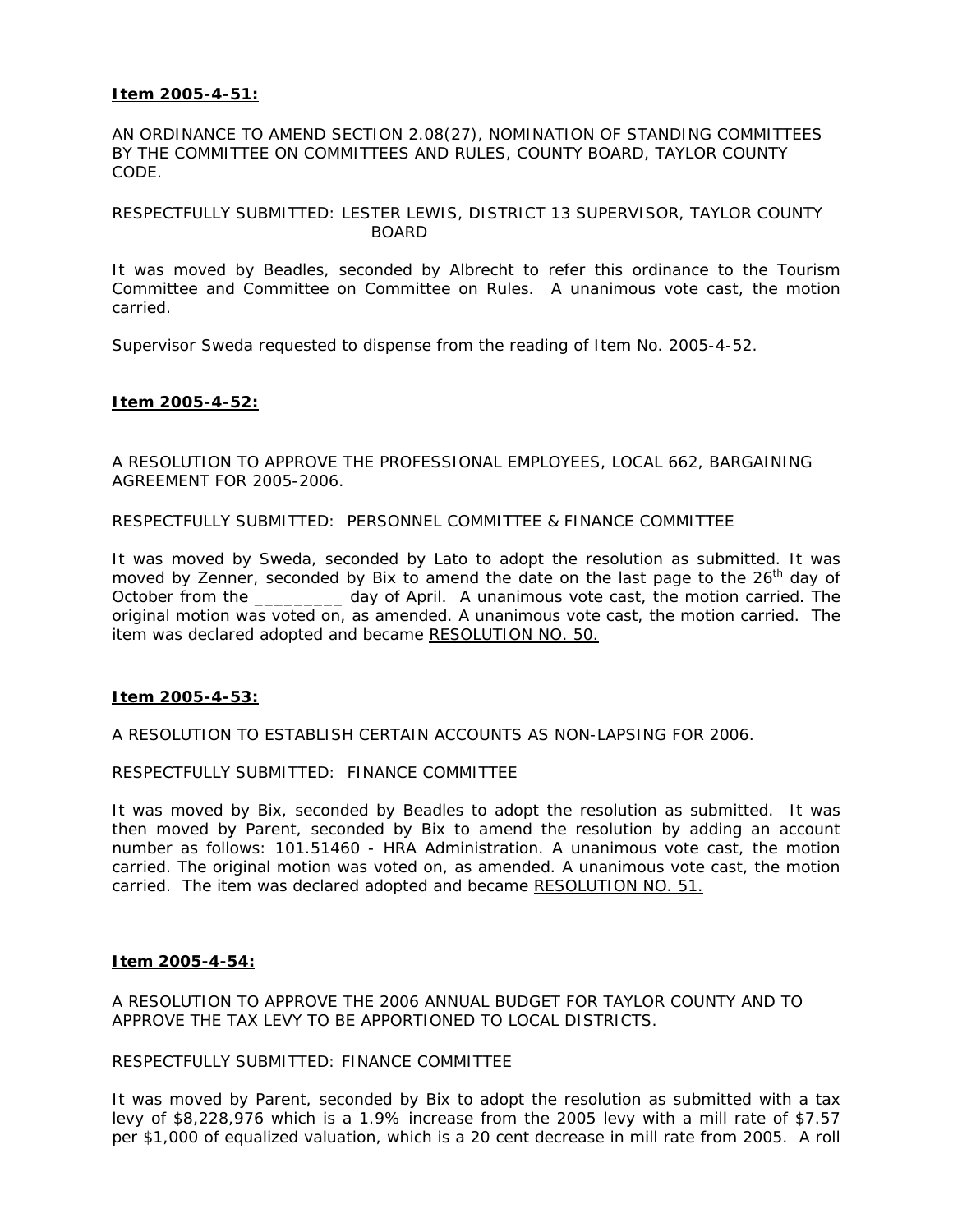# **Item 2005-4-51:**

AN ORDINANCE TO AMEND SECTION 2.08(27), NOMINATION OF STANDING COMMITTEES BY THE COMMITTEE ON COMMITTEES AND RULES, COUNTY BOARD, TAYLOR COUNTY CODE.

# RESPECTFULLY SUBMITTED: LESTER LEWIS, DISTRICT 13 SUPERVISOR, TAYLOR COUNTY BOARD

It was moved by Beadles, seconded by Albrecht to refer this ordinance to the Tourism Committee and Committee on Committee on Rules. A unanimous vote cast, the motion carried.

Supervisor Sweda requested to dispense from the reading of Item No. 2005-4-52.

# **Item 2005-4-52:**

A RESOLUTION TO APPROVE THE PROFESSIONAL EMPLOYEES, LOCAL 662, BARGAINING AGREEMENT FOR 2005-2006.

RESPECTFULLY SUBMITTED: PERSONNEL COMMITTEE & FINANCE COMMITTEE

It was moved by Sweda, seconded by Lato to adopt the resolution as submitted. It was moved by Zenner, seconded by Bix to amend the date on the last page to the  $26<sup>th</sup>$  day of October from the \_\_\_\_\_\_\_\_\_ day of April. A unanimous vote cast, the motion carried. The original motion was voted on, as amended. A unanimous vote cast, the motion carried. The item was declared adopted and became RESOLUTION NO. 50.

# **Item 2005-4-53:**

A RESOLUTION TO ESTABLISH CERTAIN ACCOUNTS AS NON-LAPSING FOR 2006.

RESPECTFULLY SUBMITTED: FINANCE COMMITTEE

It was moved by Bix, seconded by Beadles to adopt the resolution as submitted. It was then moved by Parent, seconded by Bix to amend the resolution by adding an account number as follows: 101.51460 - HRA Administration. A unanimous vote cast, the motion carried. The original motion was voted on, as amended. A unanimous vote cast, the motion carried. The item was declared adopted and became RESOLUTION NO. 51.

# **Item 2005-4-54:**

A RESOLUTION TO APPROVE THE 2006 ANNUAL BUDGET FOR TAYLOR COUNTY AND TO APPROVE THE TAX LEVY TO BE APPORTIONED TO LOCAL DISTRICTS.

# RESPECTFULLY SUBMITTED: FINANCE COMMITTEE

It was moved by Parent, seconded by Bix to adopt the resolution as submitted with a tax levy of \$8,228,976 which is a 1.9% increase from the 2005 levy with a mill rate of \$7.57 per \$1,000 of equalized valuation, which is a 20 cent decrease in mill rate from 2005. A roll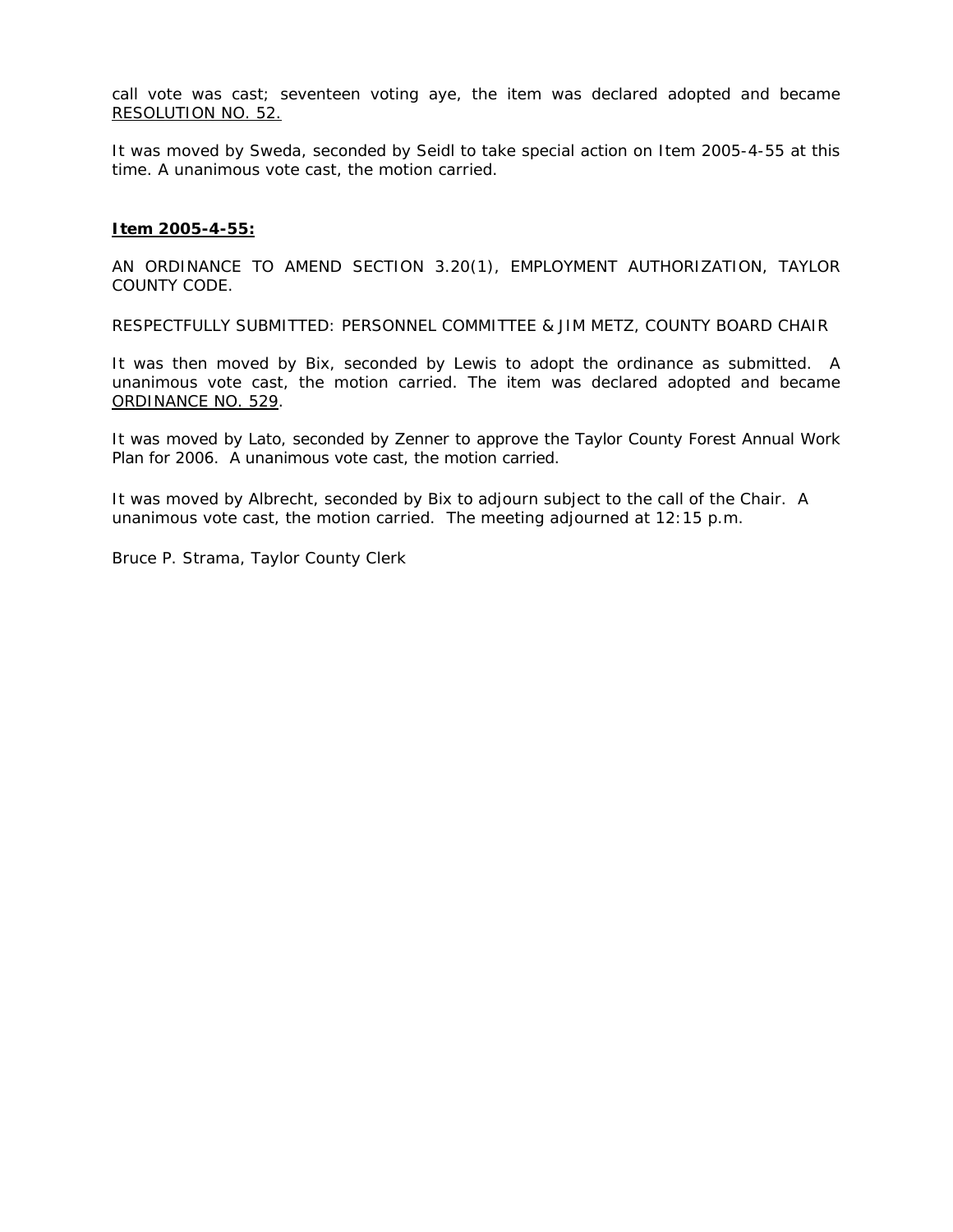call vote was cast; seventeen voting aye, the item was declared adopted and became RESOLUTION NO. 52.

It was moved by Sweda, seconded by Seidl to take special action on Item 2005-4-55 at this time. A unanimous vote cast, the motion carried.

### **Item 2005-4-55:**

AN ORDINANCE TO AMEND SECTION 3.20(1), EMPLOYMENT AUTHORIZATION, TAYLOR COUNTY CODE.

RESPECTFULLY SUBMITTED: PERSONNEL COMMITTEE & JIM METZ, COUNTY BOARD CHAIR

It was then moved by Bix, seconded by Lewis to adopt the ordinance as submitted. A unanimous vote cast, the motion carried. The item was declared adopted and became ORDINANCE NO. 529.

It was moved by Lato, seconded by Zenner to approve the Taylor County Forest Annual Work Plan for 2006. A unanimous vote cast, the motion carried.

It was moved by Albrecht, seconded by Bix to adjourn subject to the call of the Chair. A unanimous vote cast, the motion carried. The meeting adjourned at 12:15 p.m.

Bruce P. Strama, Taylor County Clerk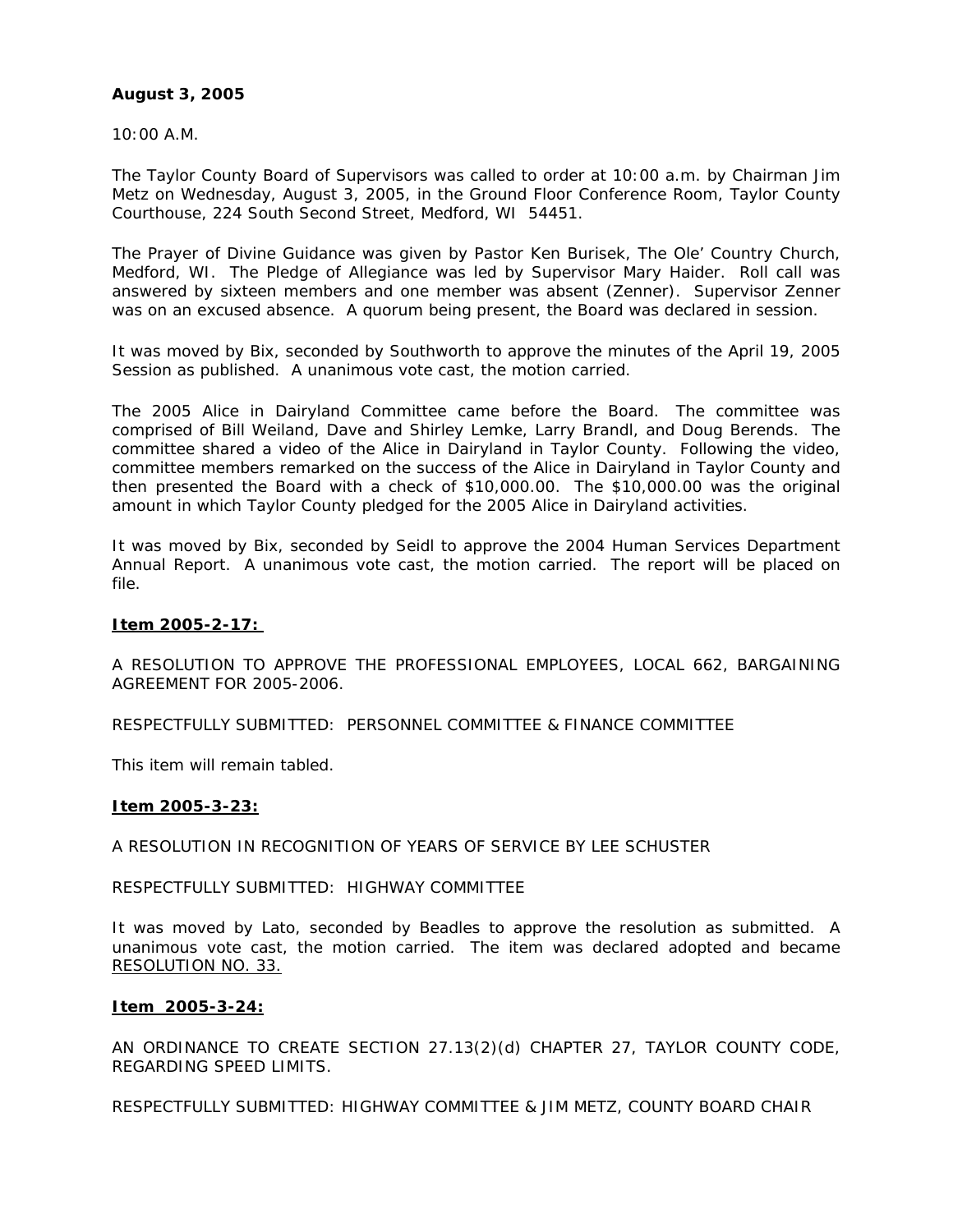# **August 3, 2005**

10:00 A.M.

The Taylor County Board of Supervisors was called to order at 10:00 a.m. by Chairman Jim Metz on Wednesday, August 3, 2005, in the Ground Floor Conference Room, Taylor County Courthouse, 224 South Second Street, Medford, WI 54451.

The Prayer of Divine Guidance was given by Pastor Ken Burisek, The Ole' Country Church, Medford, WI. The Pledge of Allegiance was led by Supervisor Mary Haider. Roll call was answered by sixteen members and one member was absent (Zenner). Supervisor Zenner was on an excused absence. A quorum being present, the Board was declared in session.

It was moved by Bix, seconded by Southworth to approve the minutes of the April 19, 2005 Session as published. A unanimous vote cast, the motion carried.

The 2005 Alice in Dairyland Committee came before the Board. The committee was comprised of Bill Weiland, Dave and Shirley Lemke, Larry Brandl, and Doug Berends. The committee shared a video of the Alice in Dairyland in Taylor County. Following the video, committee members remarked on the success of the Alice in Dairyland in Taylor County and then presented the Board with a check of \$10,000.00. The \$10,000.00 was the original amount in which Taylor County pledged for the 2005 Alice in Dairyland activities.

It was moved by Bix, seconded by Seidl to approve the 2004 Human Services Department Annual Report. A unanimous vote cast, the motion carried. The report will be placed on file.

# **Item 2005-2-17:**

A RESOLUTION TO APPROVE THE PROFESSIONAL EMPLOYEES, LOCAL 662, BARGAINING AGREEMENT FOR 2005-2006.

RESPECTFULLY SUBMITTED: PERSONNEL COMMITTEE & FINANCE COMMITTEE

This item will remain tabled.

# **Item 2005-3-23:**

A RESOLUTION IN RECOGNITION OF YEARS OF SERVICE BY LEE SCHUSTER

# RESPECTFULLY SUBMITTED: HIGHWAY COMMITTEE

It was moved by Lato, seconded by Beadles to approve the resolution as submitted. A unanimous vote cast, the motion carried. The item was declared adopted and became RESOLUTION NO. 33.

# **Item 2005-3-24:**

AN ORDINANCE TO CREATE SECTION 27.13(2)(d) CHAPTER 27, TAYLOR COUNTY CODE, REGARDING SPEED LIMITS.

RESPECTFULLY SUBMITTED: HIGHWAY COMMITTEE & JIM METZ, COUNTY BOARD CHAIR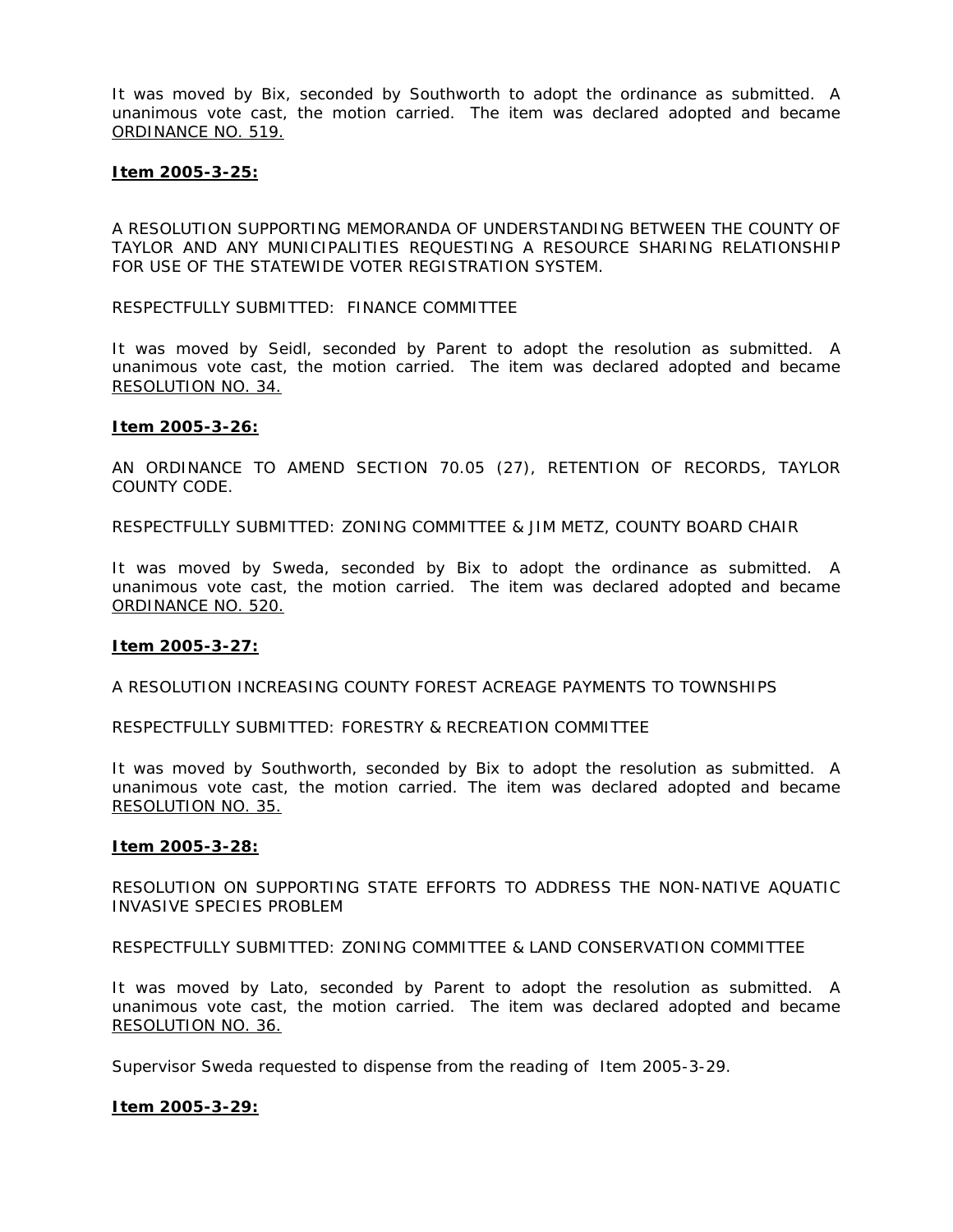It was moved by Bix, seconded by Southworth to adopt the ordinance as submitted. A unanimous vote cast, the motion carried. The item was declared adopted and became ORDINANCE NO. 519.

### **Item 2005-3-25:**

A RESOLUTION SUPPORTING MEMORANDA OF UNDERSTANDING BETWEEN THE COUNTY OF TAYLOR AND ANY MUNICIPALITIES REQUESTING A RESOURCE SHARING RELATIONSHIP FOR USE OF THE STATEWIDE VOTER REGISTRATION SYSTEM.

RESPECTFULLY SUBMITTED: FINANCE COMMITTEE

It was moved by Seidl, seconded by Parent to adopt the resolution as submitted. A unanimous vote cast, the motion carried. The item was declared adopted and became RESOLUTION NO. 34.

#### **Item 2005-3-26:**

AN ORDINANCE TO AMEND SECTION 70.05 (27), RETENTION OF RECORDS, TAYLOR COUNTY CODE.

RESPECTFULLY SUBMITTED: ZONING COMMITTEE & JIM METZ, COUNTY BOARD CHAIR

It was moved by Sweda, seconded by Bix to adopt the ordinance as submitted. A unanimous vote cast, the motion carried. The item was declared adopted and became ORDINANCE NO. 520.

# **Item 2005-3-27:**

A RESOLUTION INCREASING COUNTY FOREST ACREAGE PAYMENTS TO TOWNSHIPS

RESPECTFULLY SUBMITTED: FORESTRY & RECREATION COMMITTEE

It was moved by Southworth, seconded by Bix to adopt the resolution as submitted. A unanimous vote cast, the motion carried. The item was declared adopted and became RESOLUTION NO. 35.

#### **Item 2005-3-28:**

RESOLUTION ON SUPPORTING STATE EFFORTS TO ADDRESS THE NON-NATIVE AQUATIC INVASIVE SPECIES PROBLEM

RESPECTFULLY SUBMITTED: ZONING COMMITTEE & LAND CONSERVATION COMMITTEE

It was moved by Lato, seconded by Parent to adopt the resolution as submitted. A unanimous vote cast, the motion carried. The item was declared adopted and became RESOLUTION NO. 36.

Supervisor Sweda requested to dispense from the reading of Item 2005-3-29.

# **Item 2005-3-29:**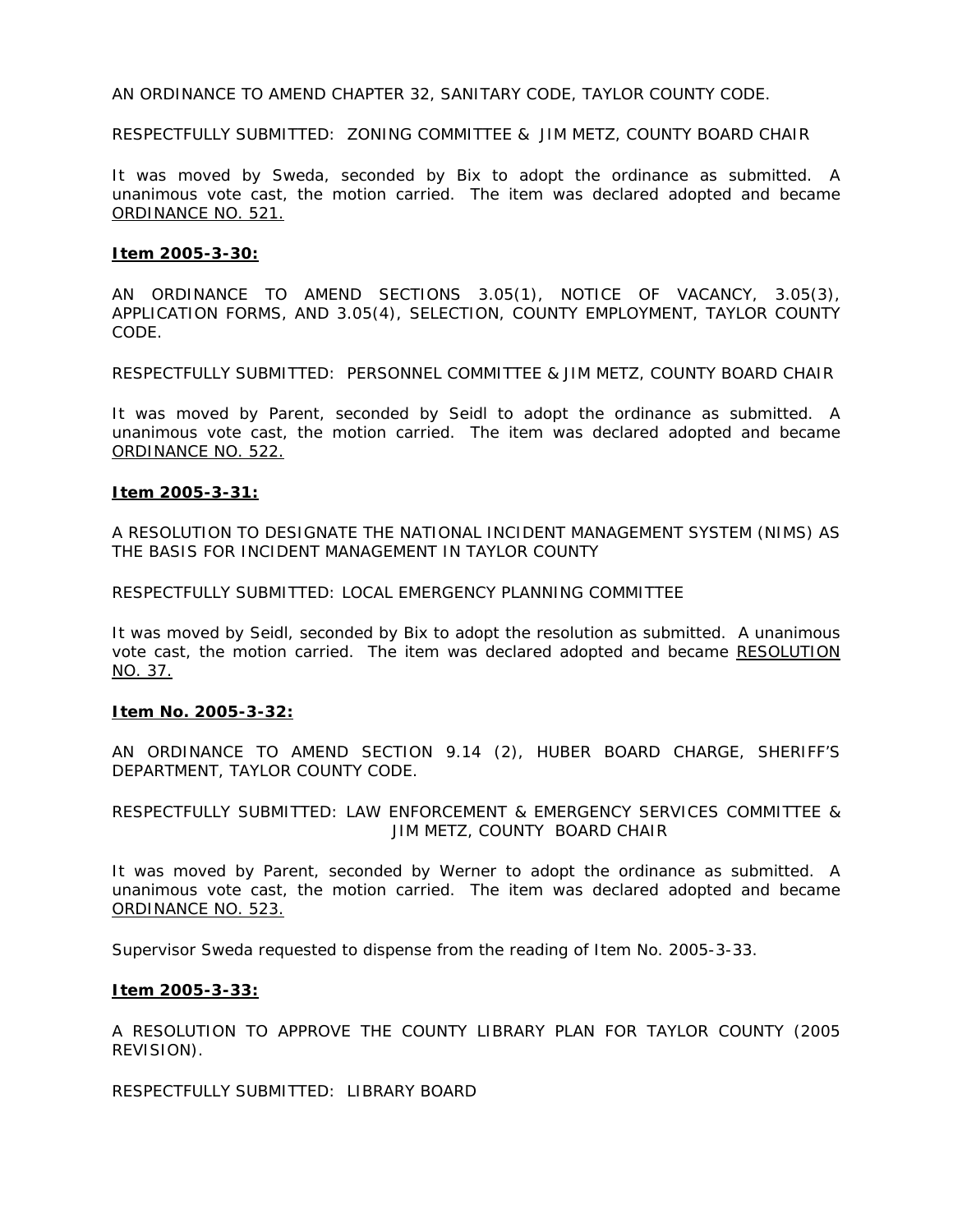AN ORDINANCE TO AMEND CHAPTER 32, SANITARY CODE, TAYLOR COUNTY CODE.

RESPECTFULLY SUBMITTED: ZONING COMMITTEE & JIM METZ, COUNTY BOARD CHAIR

It was moved by Sweda, seconded by Bix to adopt the ordinance as submitted. A unanimous vote cast, the motion carried. The item was declared adopted and became ORDINANCE NO. 521.

### **Item 2005-3-30:**

AN ORDINANCE TO AMEND SECTIONS 3.05(1), NOTICE OF VACANCY, 3.05(3), APPLICATION FORMS, AND 3.05(4), SELECTION, COUNTY EMPLOYMENT, TAYLOR COUNTY CODE.

RESPECTFULLY SUBMITTED: PERSONNEL COMMITTEE & JIM METZ, COUNTY BOARD CHAIR

It was moved by Parent, seconded by Seidl to adopt the ordinance as submitted. A unanimous vote cast, the motion carried. The item was declared adopted and became ORDINANCE NO. 522.

# **Item 2005-3-31:**

A RESOLUTION TO DESIGNATE THE NATIONAL INCIDENT MANAGEMENT SYSTEM (NIMS) AS THE BASIS FOR INCIDENT MANAGEMENT IN TAYLOR COUNTY

RESPECTFULLY SUBMITTED: LOCAL EMERGENCY PLANNING COMMITTEE

It was moved by Seidl, seconded by Bix to adopt the resolution as submitted. A unanimous vote cast, the motion carried. The item was declared adopted and became RESOLUTION NO. 37.

# **Item No. 2005-3-32:**

AN ORDINANCE TO AMEND SECTION 9.14 (2), HUBER BOARD CHARGE, SHERIFF'S DEPARTMENT, TAYLOR COUNTY CODE.

RESPECTFULLY SUBMITTED: LAW ENFORCEMENT & EMERGENCY SERVICES COMMITTEE & JIM METZ, COUNTY BOARD CHAIR

It was moved by Parent, seconded by Werner to adopt the ordinance as submitted. A unanimous vote cast, the motion carried. The item was declared adopted and became ORDINANCE NO. 523.

Supervisor Sweda requested to dispense from the reading of Item No. 2005-3-33.

# **Item 2005-3-33:**

A RESOLUTION TO APPROVE THE COUNTY LIBRARY PLAN FOR TAYLOR COUNTY (2005 REVISION).

RESPECTFULLY SUBMITTED: LIBRARY BOARD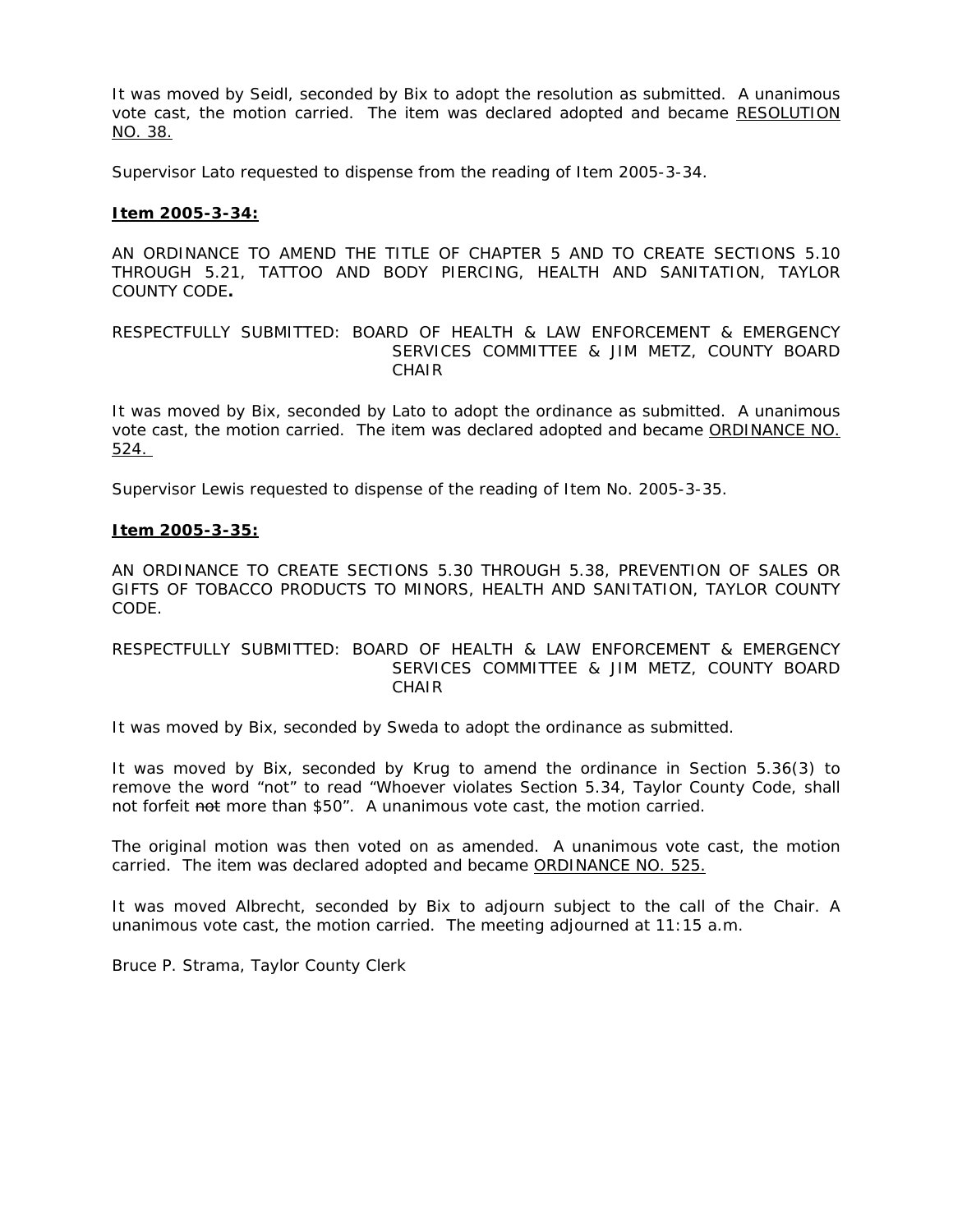It was moved by Seidl, seconded by Bix to adopt the resolution as submitted. A unanimous vote cast, the motion carried. The item was declared adopted and became RESOLUTION NO. 38.

Supervisor Lato requested to dispense from the reading of Item 2005-3-34.

# **Item 2005-3-34:**

AN ORDINANCE TO AMEND THE TITLE OF CHAPTER 5 AND TO CREATE SECTIONS 5.10 THROUGH 5.21, TATTOO AND BODY PIERCING, HEALTH AND SANITATION, TAYLOR COUNTY CODE**.**

# RESPECTFULLY SUBMITTED: BOARD OF HEALTH & LAW ENFORCEMENT & EMERGENCY SERVICES COMMITTEE & JIM METZ, COUNTY BOARD CHAIR

It was moved by Bix, seconded by Lato to adopt the ordinance as submitted. A unanimous vote cast, the motion carried. The item was declared adopted and became ORDINANCE NO. 524.

Supervisor Lewis requested to dispense of the reading of Item No. 2005-3-35.

# **Item 2005-3-35:**

AN ORDINANCE TO CREATE SECTIONS 5.30 THROUGH 5.38, PREVENTION OF SALES OR GIFTS OF TOBACCO PRODUCTS TO MINORS, HEALTH AND SANITATION, TAYLOR COUNTY CODE.

# RESPECTFULLY SUBMITTED: BOARD OF HEALTH & LAW ENFORCEMENT & EMERGENCY SERVICES COMMITTEE & JIM METZ, COUNTY BOARD CHAIR

It was moved by Bix, seconded by Sweda to adopt the ordinance as submitted.

It was moved by Bix, seconded by Krug to amend the ordinance in Section 5.36(3) to remove the word "not" to read "Whoever violates Section 5.34, Taylor County Code, shall not forfeit not more than \$50". A unanimous vote cast, the motion carried.

The original motion was then voted on as amended. A unanimous vote cast, the motion carried. The item was declared adopted and became ORDINANCE NO. 525.

It was moved Albrecht, seconded by Bix to adjourn subject to the call of the Chair. A unanimous vote cast, the motion carried. The meeting adjourned at 11:15 a.m.

Bruce P. Strama, Taylor County Clerk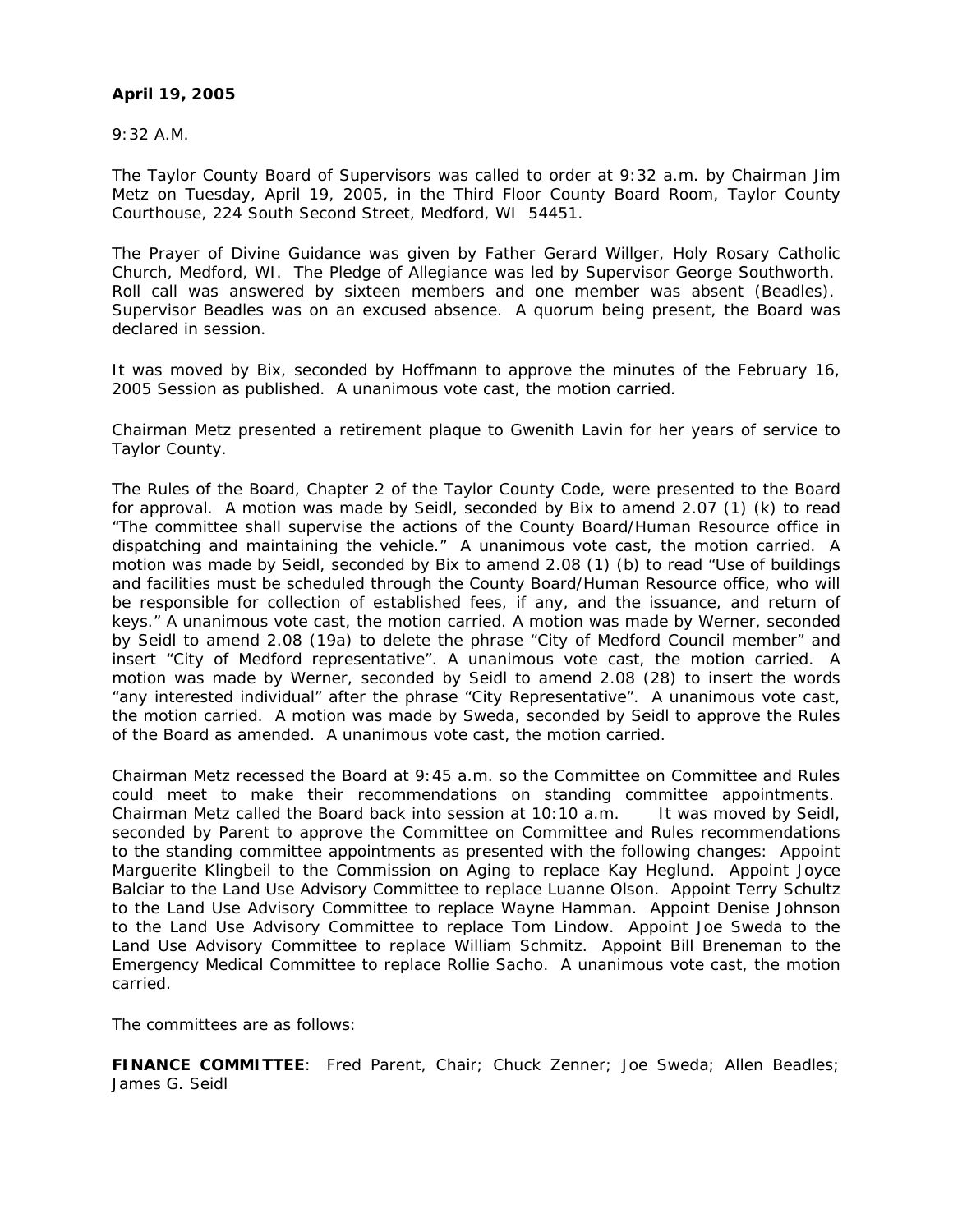# **April 19, 2005**

9:32 A.M.

The Taylor County Board of Supervisors was called to order at 9:32 a.m. by Chairman Jim Metz on Tuesday, April 19, 2005, in the Third Floor County Board Room, Taylor County Courthouse, 224 South Second Street, Medford, WI 54451.

The Prayer of Divine Guidance was given by Father Gerard Willger, Holy Rosary Catholic Church, Medford, WI. The Pledge of Allegiance was led by Supervisor George Southworth. Roll call was answered by sixteen members and one member was absent (Beadles). Supervisor Beadles was on an excused absence. A quorum being present, the Board was declared in session.

It was moved by Bix, seconded by Hoffmann to approve the minutes of the February 16, 2005 Session as published. A unanimous vote cast, the motion carried.

Chairman Metz presented a retirement plaque to Gwenith Lavin for her years of service to Taylor County.

The Rules of the Board, Chapter 2 of the Taylor County Code, were presented to the Board for approval. A motion was made by Seidl, seconded by Bix to amend 2.07 (1) (k) to read "The committee shall supervise the actions of the County Board/Human Resource office in dispatching and maintaining the vehicle." A unanimous vote cast, the motion carried. A motion was made by Seidl, seconded by Bix to amend 2.08 (1) (b) to read "Use of buildings and facilities must be scheduled through the County Board/Human Resource office, who will be responsible for collection of established fees, if any, and the issuance, and return of keys." A unanimous vote cast, the motion carried. A motion was made by Werner, seconded by Seidl to amend 2.08 (19a) to delete the phrase "City of Medford Council member" and insert "City of Medford representative". A unanimous vote cast, the motion carried. A motion was made by Werner, seconded by Seidl to amend 2.08 (28) to insert the words "any interested individual" after the phrase "City Representative". A unanimous vote cast, the motion carried. A motion was made by Sweda, seconded by Seidl to approve the Rules of the Board as amended. A unanimous vote cast, the motion carried.

Chairman Metz recessed the Board at 9:45 a.m. so the Committee on Committee and Rules could meet to make their recommendations on standing committee appointments. Chairman Metz called the Board back into session at 10:10 a.m. It was moved by Seidl, seconded by Parent to approve the Committee on Committee and Rules recommendations to the standing committee appointments as presented with the following changes: Appoint Marguerite Klingbeil to the Commission on Aging to replace Kay Heglund. Appoint Joyce Balciar to the Land Use Advisory Committee to replace Luanne Olson. Appoint Terry Schultz to the Land Use Advisory Committee to replace Wayne Hamman. Appoint Denise Johnson to the Land Use Advisory Committee to replace Tom Lindow. Appoint Joe Sweda to the Land Use Advisory Committee to replace William Schmitz. Appoint Bill Breneman to the Emergency Medical Committee to replace Rollie Sacho. A unanimous vote cast, the motion carried.

The committees are as follows:

**FINANCE COMMITTEE**: Fred Parent, Chair; Chuck Zenner; Joe Sweda; Allen Beadles; James G. Seidl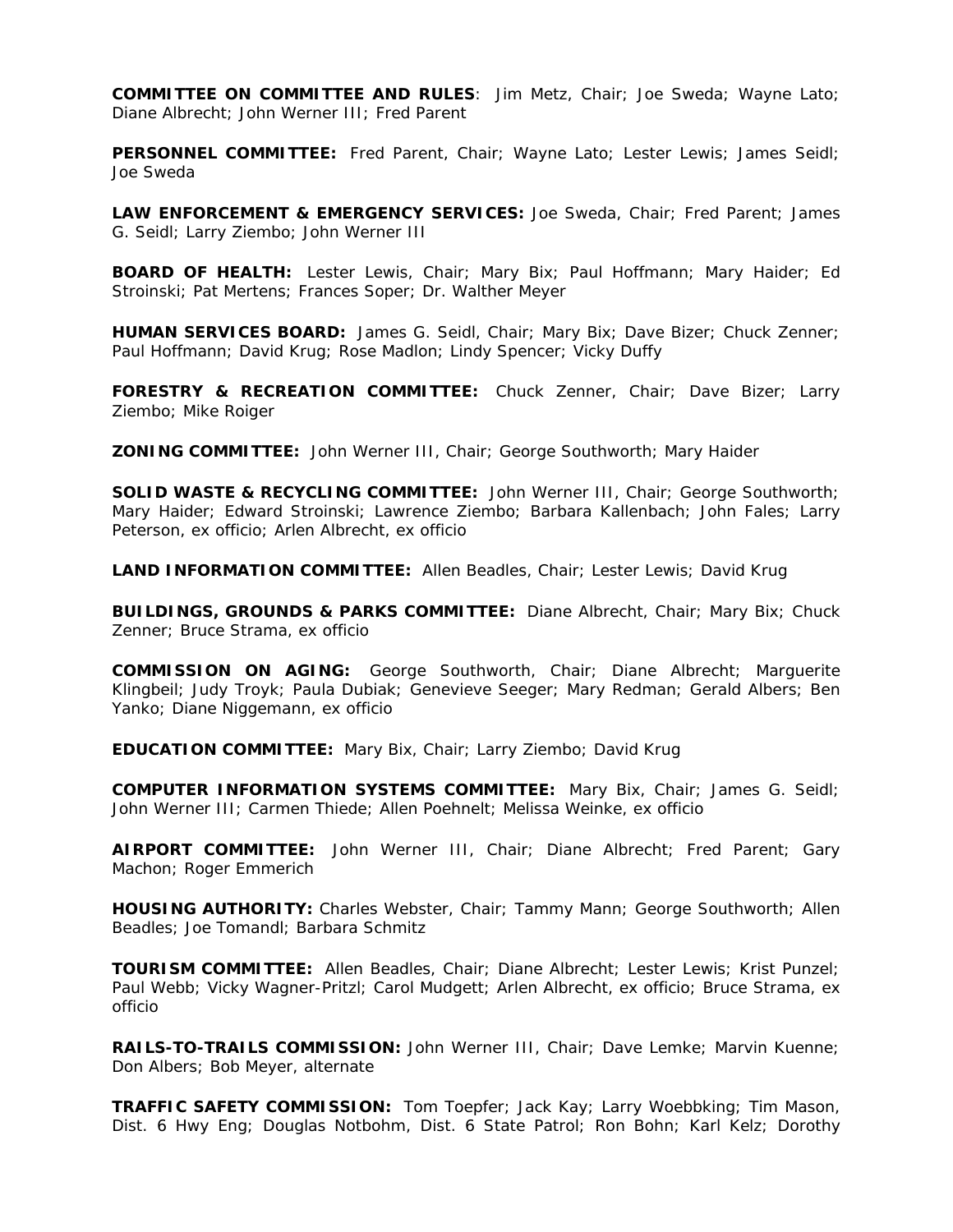**COMMITTEE ON COMMITTEE AND RULES**: Jim Metz, Chair; Joe Sweda; Wayne Lato; Diane Albrecht; John Werner III; Fred Parent

**PERSONNEL COMMITTEE:** Fred Parent, Chair; Wayne Lato; Lester Lewis; James Seidl; Joe Sweda

**LAW ENFORCEMENT & EMERGENCY SERVICES:** Joe Sweda, Chair; Fred Parent; James G. Seidl; Larry Ziembo; John Werner III

**BOARD OF HEALTH:** Lester Lewis, Chair; Mary Bix; Paul Hoffmann; Mary Haider; Ed Stroinski; Pat Mertens; Frances Soper; Dr. Walther Meyer

**HUMAN SERVICES BOARD:** James G. Seidl, Chair; Mary Bix; Dave Bizer; Chuck Zenner; Paul Hoffmann; David Krug; Rose Madlon; Lindy Spencer; Vicky Duffy

**FORESTRY & RECREATION COMMITTEE:** Chuck Zenner, Chair; Dave Bizer; Larry Ziembo; Mike Roiger

**ZONING COMMITTEE:** John Werner III, Chair; George Southworth; Mary Haider

**SOLID WASTE & RECYCLING COMMITTEE:** John Werner III, Chair; George Southworth; Mary Haider; Edward Stroinski; Lawrence Ziembo; Barbara Kallenbach; John Fales; Larry Peterson, ex officio; Arlen Albrecht, ex officio

**LAND INFORMATION COMMITTEE:** Allen Beadles, Chair; Lester Lewis; David Krug

**BUILDINGS, GROUNDS & PARKS COMMITTEE:** Diane Albrecht, Chair; Mary Bix; Chuck Zenner; Bruce Strama, ex officio

**COMMISSION ON AGING:** George Southworth, Chair; Diane Albrecht; Marguerite Klingbeil; Judy Troyk; Paula Dubiak; Genevieve Seeger; Mary Redman; Gerald Albers; Ben Yanko; Diane Niggemann, ex officio

**EDUCATION COMMITTEE:** Mary Bix, Chair; Larry Ziembo; David Krug

**COMPUTER INFORMATION SYSTEMS COMMITTEE:** Mary Bix, Chair; James G. Seidl; John Werner III; Carmen Thiede; Allen Poehnelt; Melissa Weinke, ex officio

**AIRPORT COMMITTEE:** John Werner III, Chair; Diane Albrecht; Fred Parent; Gary Machon; Roger Emmerich

**HOUSING AUTHORITY:** Charles Webster, Chair; Tammy Mann; George Southworth; Allen Beadles; Joe Tomandl; Barbara Schmitz

**TOURISM COMMITTEE:** Allen Beadles, Chair; Diane Albrecht; Lester Lewis; Krist Punzel; Paul Webb; Vicky Wagner-Pritzl; Carol Mudgett; Arlen Albrecht, ex officio; Bruce Strama, ex officio

**RAILS-TO-TRAILS COMMISSION:** John Werner III, Chair; Dave Lemke; Marvin Kuenne; Don Albers; Bob Meyer, alternate

**TRAFFIC SAFETY COMMISSION:** Tom Toepfer; Jack Kay; Larry Woebbking; Tim Mason, Dist. 6 Hwy Eng; Douglas Notbohm, Dist. 6 State Patrol; Ron Bohn; Karl Kelz; Dorothy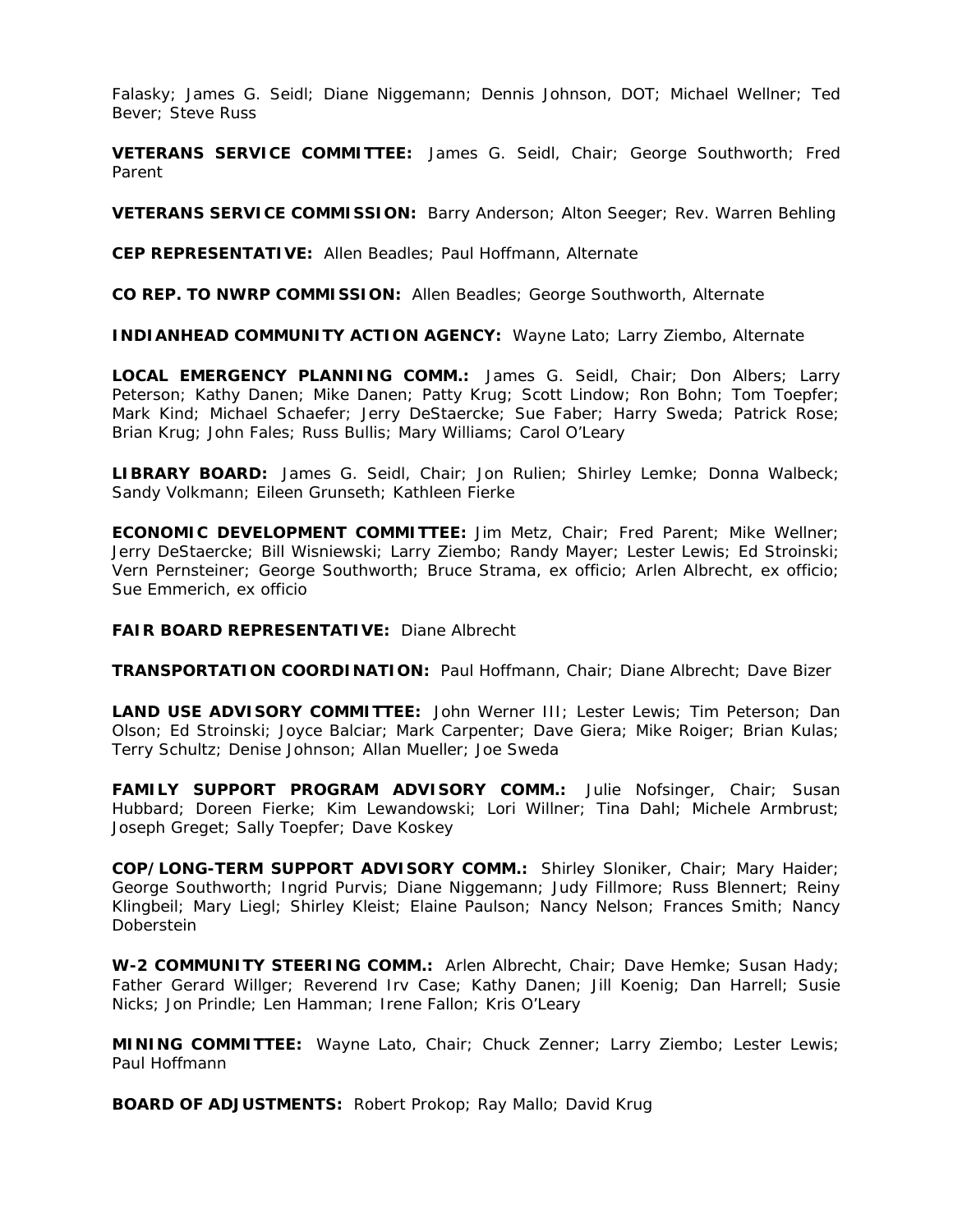Falasky; James G. Seidl; Diane Niggemann; Dennis Johnson, DOT; Michael Wellner; Ted Bever; Steve Russ

**VETERANS SERVICE COMMITTEE:** James G. Seidl, Chair; George Southworth; Fred Parent

**VETERANS SERVICE COMMISSION:** Barry Anderson; Alton Seeger; Rev. Warren Behling

**CEP REPRESENTATIVE:** Allen Beadles; Paul Hoffmann, Alternate

**CO REP. TO NWRP COMMISSION:** Allen Beadles; George Southworth, Alternate

**INDIANHEAD COMMUNITY ACTION AGENCY:** Wayne Lato; Larry Ziembo, Alternate

**LOCAL EMERGENCY PLANNING COMM.:** James G. Seidl, Chair; Don Albers; Larry Peterson; Kathy Danen; Mike Danen; Patty Krug; Scott Lindow; Ron Bohn; Tom Toepfer; Mark Kind; Michael Schaefer; Jerry DeStaercke; Sue Faber; Harry Sweda; Patrick Rose; Brian Krug; John Fales; Russ Bullis; Mary Williams; Carol O'Leary

**LIBRARY BOARD:** James G. Seidl, Chair; Jon Rulien; Shirley Lemke; Donna Walbeck; Sandy Volkmann; Eileen Grunseth; Kathleen Fierke

**ECONOMIC DEVELOPMENT COMMITTEE:** Jim Metz, Chair; Fred Parent; Mike Wellner; Jerry DeStaercke; Bill Wisniewski; Larry Ziembo; Randy Mayer; Lester Lewis; Ed Stroinski; Vern Pernsteiner; George Southworth; Bruce Strama, ex officio; Arlen Albrecht, ex officio; Sue Emmerich, ex officio

**FAIR BOARD REPRESENTATIVE:** Diane Albrecht

**TRANSPORTATION COORDINATION:** Paul Hoffmann, Chair; Diane Albrecht; Dave Bizer

**LAND USE ADVISORY COMMITTEE:** John Werner III; Lester Lewis; Tim Peterson; Dan Olson; Ed Stroinski; Joyce Balciar; Mark Carpenter; Dave Giera; Mike Roiger; Brian Kulas; Terry Schultz; Denise Johnson; Allan Mueller; Joe Sweda

**FAMILY SUPPORT PROGRAM ADVISORY COMM.:** Julie Nofsinger, Chair; Susan Hubbard; Doreen Fierke; Kim Lewandowski; Lori Willner; Tina Dahl; Michele Armbrust; Joseph Greget; Sally Toepfer; Dave Koskey

**COP/LONG-TERM SUPPORT ADVISORY COMM.:** Shirley Sloniker, Chair; Mary Haider; George Southworth; Ingrid Purvis; Diane Niggemann; Judy Fillmore; Russ Blennert; Reiny Klingbeil; Mary Liegl; Shirley Kleist; Elaine Paulson; Nancy Nelson; Frances Smith; Nancy Doberstein

**W-2 COMMUNITY STEERING COMM.:** Arlen Albrecht, Chair; Dave Hemke; Susan Hady; Father Gerard Willger; Reverend Irv Case; Kathy Danen; Jill Koenig; Dan Harrell; Susie Nicks; Jon Prindle; Len Hamman; Irene Fallon; Kris O'Leary

**MINING COMMITTEE:** Wayne Lato, Chair; Chuck Zenner; Larry Ziembo; Lester Lewis; Paul Hoffmann

**BOARD OF ADJUSTMENTS:** Robert Prokop; Ray Mallo; David Krug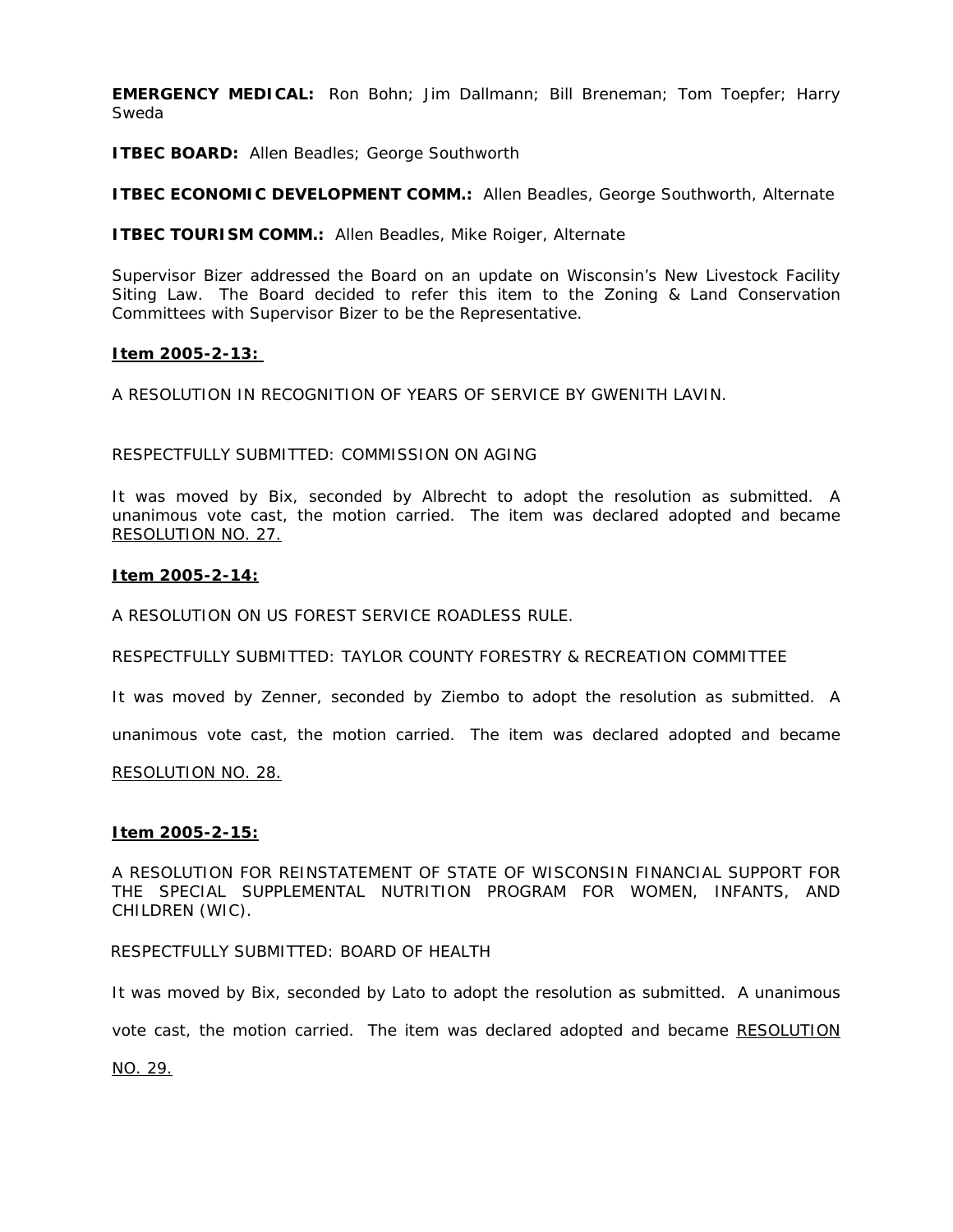**EMERGENCY MEDICAL:** Ron Bohn; Jim Dallmann; Bill Breneman; Tom Toepfer; Harry Sweda

**ITBEC BOARD:** Allen Beadles; George Southworth

**ITBEC ECONOMIC DEVELOPMENT COMM.:** Allen Beadles, George Southworth, Alternate

**ITBEC TOURISM COMM.:** Allen Beadles, Mike Roiger, Alternate

Supervisor Bizer addressed the Board on an update on Wisconsin's New Livestock Facility Siting Law. The Board decided to refer this item to the Zoning & Land Conservation Committees with Supervisor Bizer to be the Representative.

# **Item 2005-2-13:**

A RESOLUTION IN RECOGNITION OF YEARS OF SERVICE BY GWENITH LAVIN.

# RESPECTFULLY SUBMITTED: COMMISSION ON AGING

It was moved by Bix, seconded by Albrecht to adopt the resolution as submitted. A unanimous vote cast, the motion carried. The item was declared adopted and became RESOLUTION NO. 27.

# **Item 2005-2-14:**

A RESOLUTION ON US FOREST SERVICE ROADLESS RULE.

RESPECTFULLY SUBMITTED: TAYLOR COUNTY FORESTRY & RECREATION COMMITTEE

It was moved by Zenner, seconded by Ziembo to adopt the resolution as submitted. A

unanimous vote cast, the motion carried. The item was declared adopted and became

RESOLUTION NO. 28.

# **Item 2005-2-15:**

A RESOLUTION FOR REINSTATEMENT OF STATE OF WISCONSIN FINANCIAL SUPPORT FOR THE SPECIAL SUPPLEMENTAL NUTRITION PROGRAM FOR WOMEN, INFANTS, AND CHILDREN (WIC).

RESPECTFULLY SUBMITTED: BOARD OF HEALTH

It was moved by Bix, seconded by Lato to adopt the resolution as submitted. A unanimous

vote cast, the motion carried. The item was declared adopted and became RESOLUTION

NO. 29.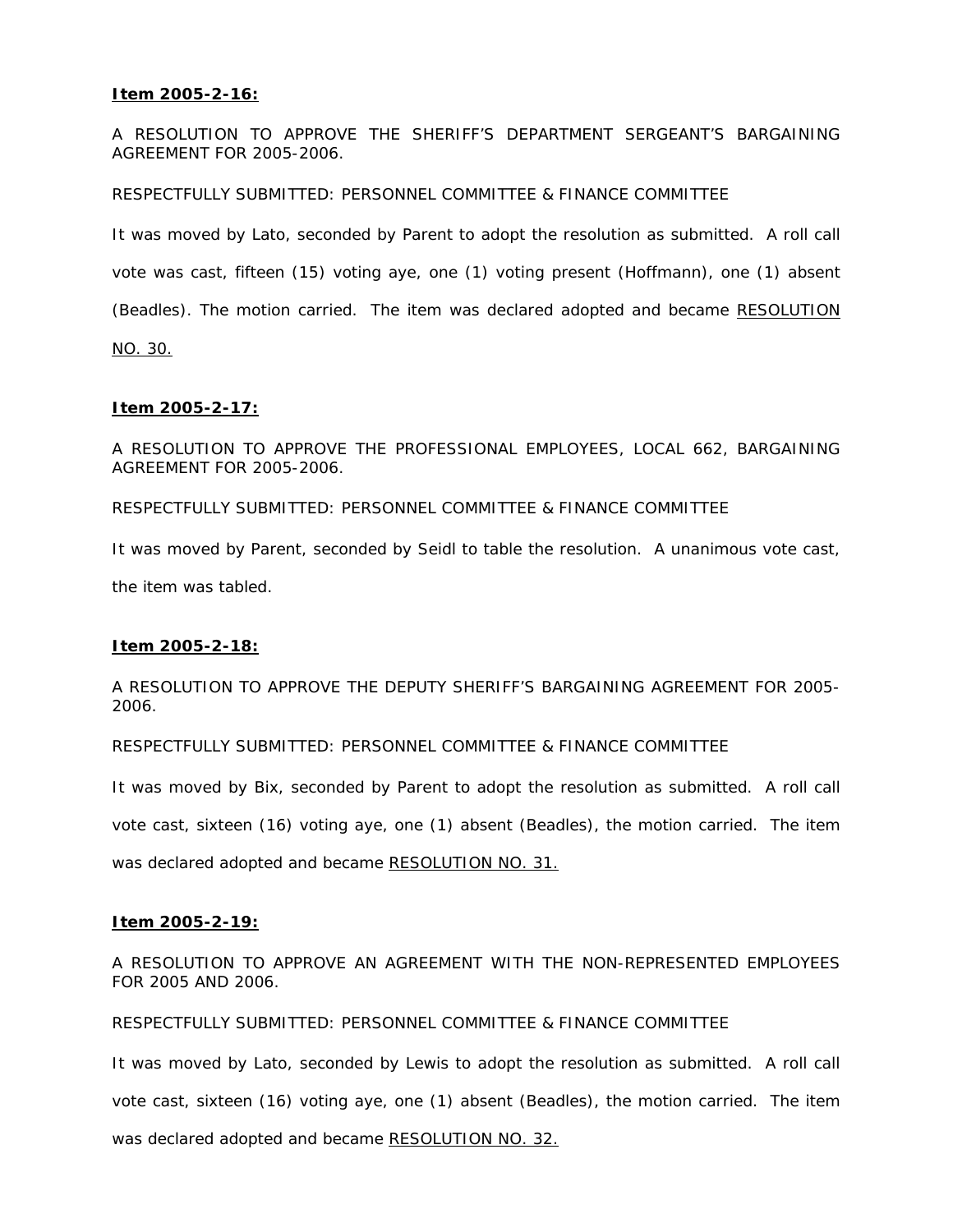# **Item 2005-2-16:**

A RESOLUTION TO APPROVE THE SHERIFF'S DEPARTMENT SERGEANT'S BARGAINING AGREEMENT FOR 2005-2006.

RESPECTFULLY SUBMITTED: PERSONNEL COMMITTEE & FINANCE COMMITTEE

It was moved by Lato, seconded by Parent to adopt the resolution as submitted. A roll call vote was cast, fifteen (15) voting aye, one (1) voting present (Hoffmann), one (1) absent (Beadles). The motion carried. The item was declared adopted and became RESOLUTION NO. 30.

# **Item 2005-2-17:**

A RESOLUTION TO APPROVE THE PROFESSIONAL EMPLOYEES, LOCAL 662, BARGAINING AGREEMENT FOR 2005-2006.

RESPECTFULLY SUBMITTED: PERSONNEL COMMITTEE & FINANCE COMMITTEE

It was moved by Parent, seconded by Seidl to table the resolution. A unanimous vote cast,

the item was tabled.

# **Item 2005-2-18:**

A RESOLUTION TO APPROVE THE DEPUTY SHERIFF'S BARGAINING AGREEMENT FOR 2005- 2006.

RESPECTFULLY SUBMITTED: PERSONNEL COMMITTEE & FINANCE COMMITTEE

It was moved by Bix, seconded by Parent to adopt the resolution as submitted. A roll call vote cast, sixteen (16) voting aye, one (1) absent (Beadles), the motion carried. The item was declared adopted and became RESOLUTION NO. 31.

# **Item 2005-2-19:**

A RESOLUTION TO APPROVE AN AGREEMENT WITH THE NON-REPRESENTED EMPLOYEES FOR 2005 AND 2006.

RESPECTFULLY SUBMITTED: PERSONNEL COMMITTEE & FINANCE COMMITTEE

It was moved by Lato, seconded by Lewis to adopt the resolution as submitted. A roll call vote cast, sixteen (16) voting aye, one (1) absent (Beadles), the motion carried. The item was declared adopted and became RESOLUTION NO. 32.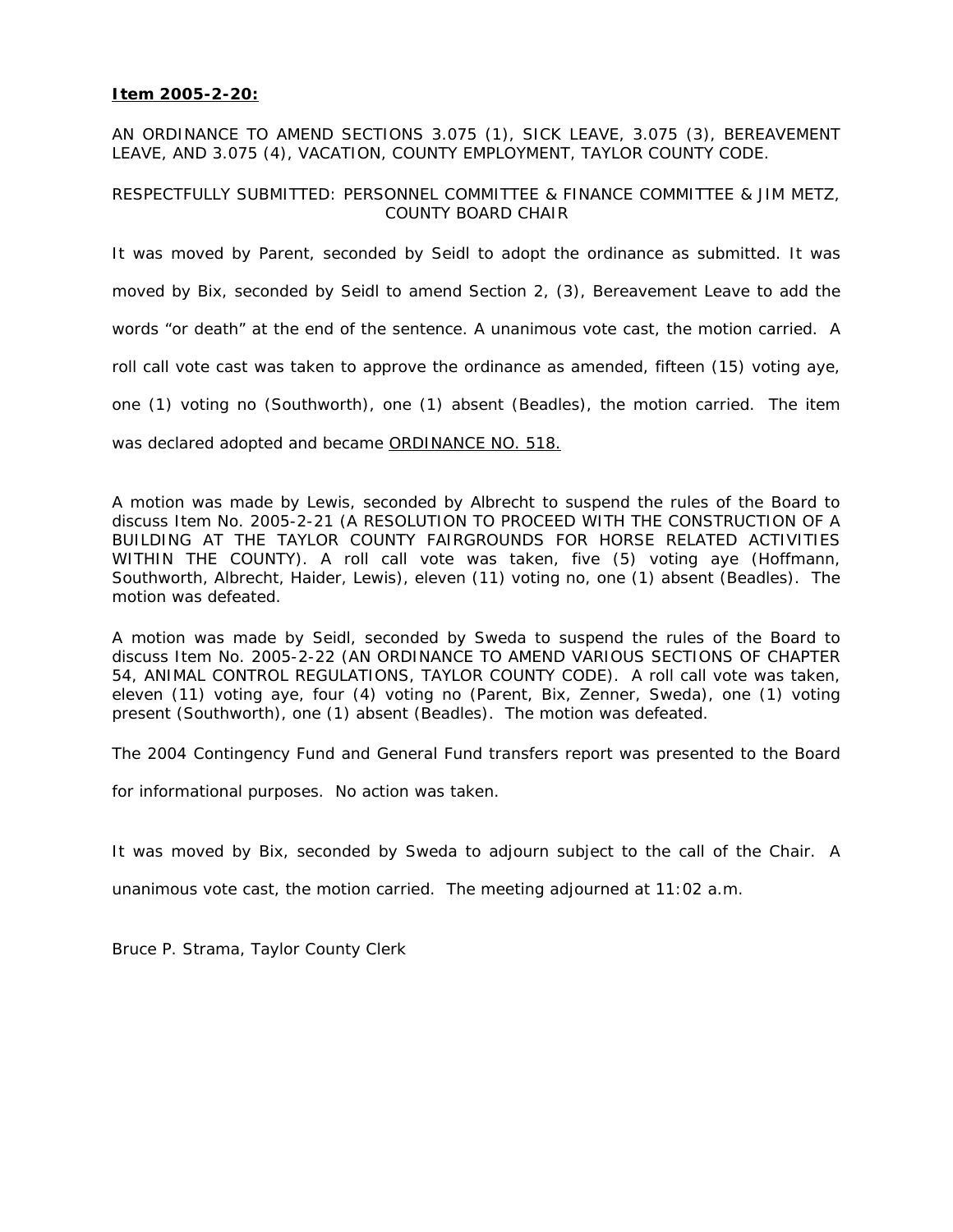# **Item 2005-2-20:**

AN ORDINANCE TO AMEND SECTIONS 3.075 (1), SICK LEAVE, 3.075 (3), BEREAVEMENT LEAVE, AND 3.075 (4), VACATION, COUNTY EMPLOYMENT, TAYLOR COUNTY CODE.

# RESPECTFULLY SUBMITTED: PERSONNEL COMMITTEE & FINANCE COMMITTEE & JIM METZ, COUNTY BOARD CHAIR

It was moved by Parent, seconded by Seidl to adopt the ordinance as submitted. It was moved by Bix, seconded by Seidl to amend Section 2, (3), Bereavement Leave to add the words "or death" at the end of the sentence. A unanimous vote cast, the motion carried. A roll call vote cast was taken to approve the ordinance as amended, fifteen (15) voting aye, one (1) voting no (Southworth), one (1) absent (Beadles), the motion carried. The item was declared adopted and became ORDINANCE NO. 518.

A motion was made by Lewis, seconded by Albrecht to suspend the rules of the Board to discuss Item No. 2005-2-21 (A RESOLUTION TO PROCEED WITH THE CONSTRUCTION OF A BUILDING AT THE TAYLOR COUNTY FAIRGROUNDS FOR HORSE RELATED ACTIVITIES WITHIN THE COUNTY). A roll call vote was taken, five (5) voting aye (Hoffmann, Southworth, Albrecht, Haider, Lewis), eleven (11) voting no, one (1) absent (Beadles). The motion was defeated.

A motion was made by Seidl, seconded by Sweda to suspend the rules of the Board to discuss Item No. 2005-2-22 (AN ORDINANCE TO AMEND VARIOUS SECTIONS OF CHAPTER 54, ANIMAL CONTROL REGULATIONS, TAYLOR COUNTY CODE). A roll call vote was taken, eleven (11) voting aye, four (4) voting no (Parent, Bix, Zenner, Sweda), one (1) voting present (Southworth), one (1) absent (Beadles). The motion was defeated.

The 2004 Contingency Fund and General Fund transfers report was presented to the Board

for informational purposes. No action was taken.

It was moved by Bix, seconded by Sweda to adjourn subject to the call of the Chair. A unanimous vote cast, the motion carried. The meeting adjourned at 11:02 a.m.

Bruce P. Strama, Taylor County Clerk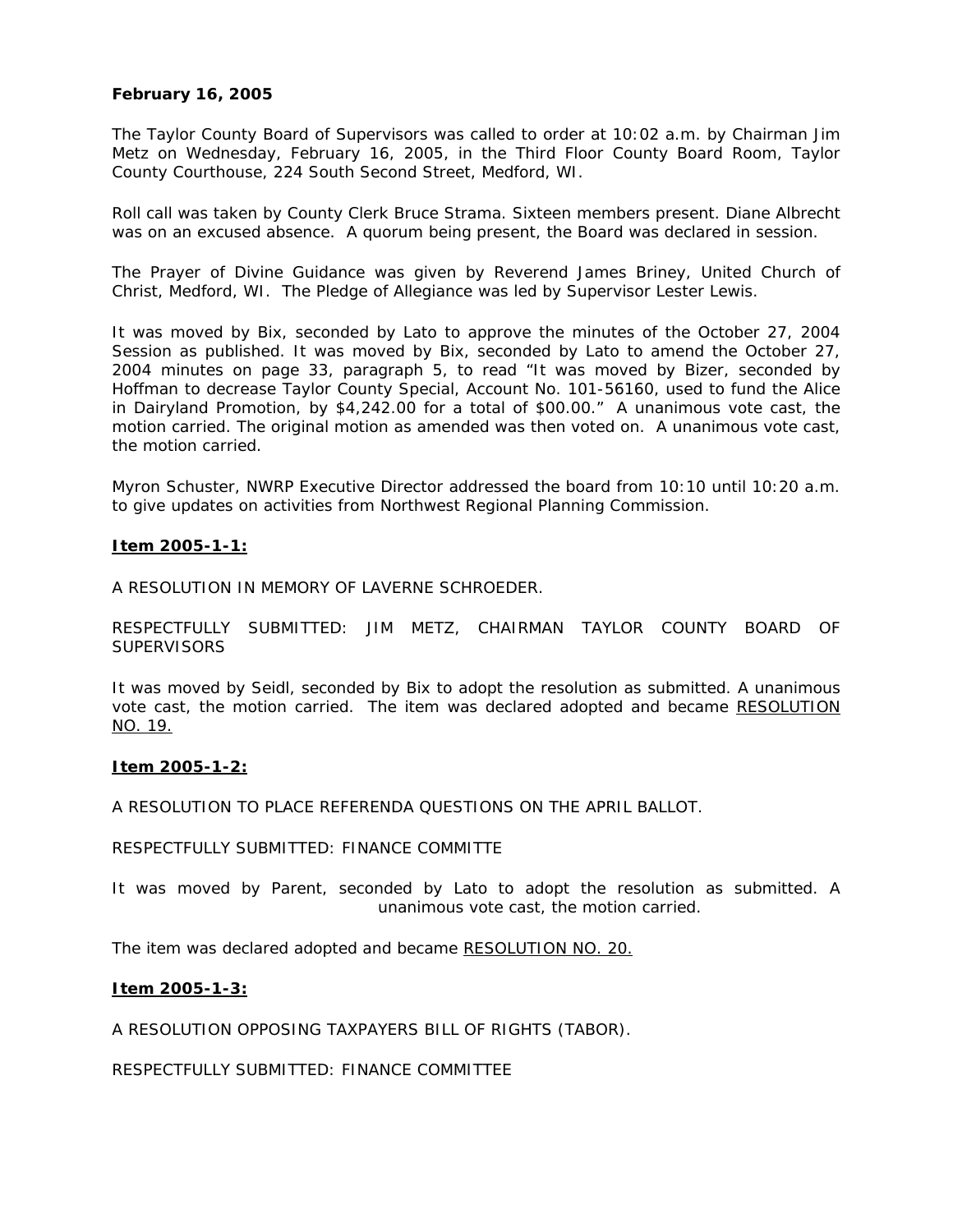# **February 16, 2005**

The Taylor County Board of Supervisors was called to order at 10:02 a.m. by Chairman Jim Metz on Wednesday, February 16, 2005, in the Third Floor County Board Room, Taylor County Courthouse, 224 South Second Street, Medford, WI.

Roll call was taken by County Clerk Bruce Strama. Sixteen members present. Diane Albrecht was on an excused absence. A quorum being present, the Board was declared in session.

The Prayer of Divine Guidance was given by Reverend James Briney, United Church of Christ, Medford, WI. The Pledge of Allegiance was led by Supervisor Lester Lewis.

It was moved by Bix, seconded by Lato to approve the minutes of the October 27, 2004 Session as published. It was moved by Bix, seconded by Lato to amend the October 27, 2004 minutes on page 33, paragraph 5, to read "It was moved by Bizer, seconded by Hoffman to decrease Taylor County Special, Account No. 101-56160, used to fund the Alice in Dairyland Promotion, by \$4,242.00 for a total of \$00.00." A unanimous vote cast, the motion carried. The original motion as amended was then voted on. A unanimous vote cast, the motion carried.

Myron Schuster, NWRP Executive Director addressed the board from 10:10 until 10:20 a.m. to give updates on activities from Northwest Regional Planning Commission.

# **Item 2005-1-1:**

A RESOLUTION IN MEMORY OF LAVERNE SCHROEDER.

RESPECTFULLY SUBMITTED: JIM METZ, CHAIRMAN TAYLOR COUNTY BOARD OF **SUPERVISORS** 

It was moved by Seidl, seconded by Bix to adopt the resolution as submitted. A unanimous vote cast, the motion carried. The item was declared adopted and became RESOLUTION NO. 19.

#### **Item 2005-1-2:**

A RESOLUTION TO PLACE REFERENDA QUESTIONS ON THE APRIL BALLOT.

RESPECTFULLY SUBMITTED: FINANCE COMMITTE

It was moved by Parent, seconded by Lato to adopt the resolution as submitted. A unanimous vote cast, the motion carried.

The item was declared adopted and became RESOLUTION NO. 20.

# **Item 2005-1-3:**

A RESOLUTION OPPOSING TAXPAYERS BILL OF RIGHTS (TABOR).

RESPECTFULLY SUBMITTED: FINANCE COMMITTEE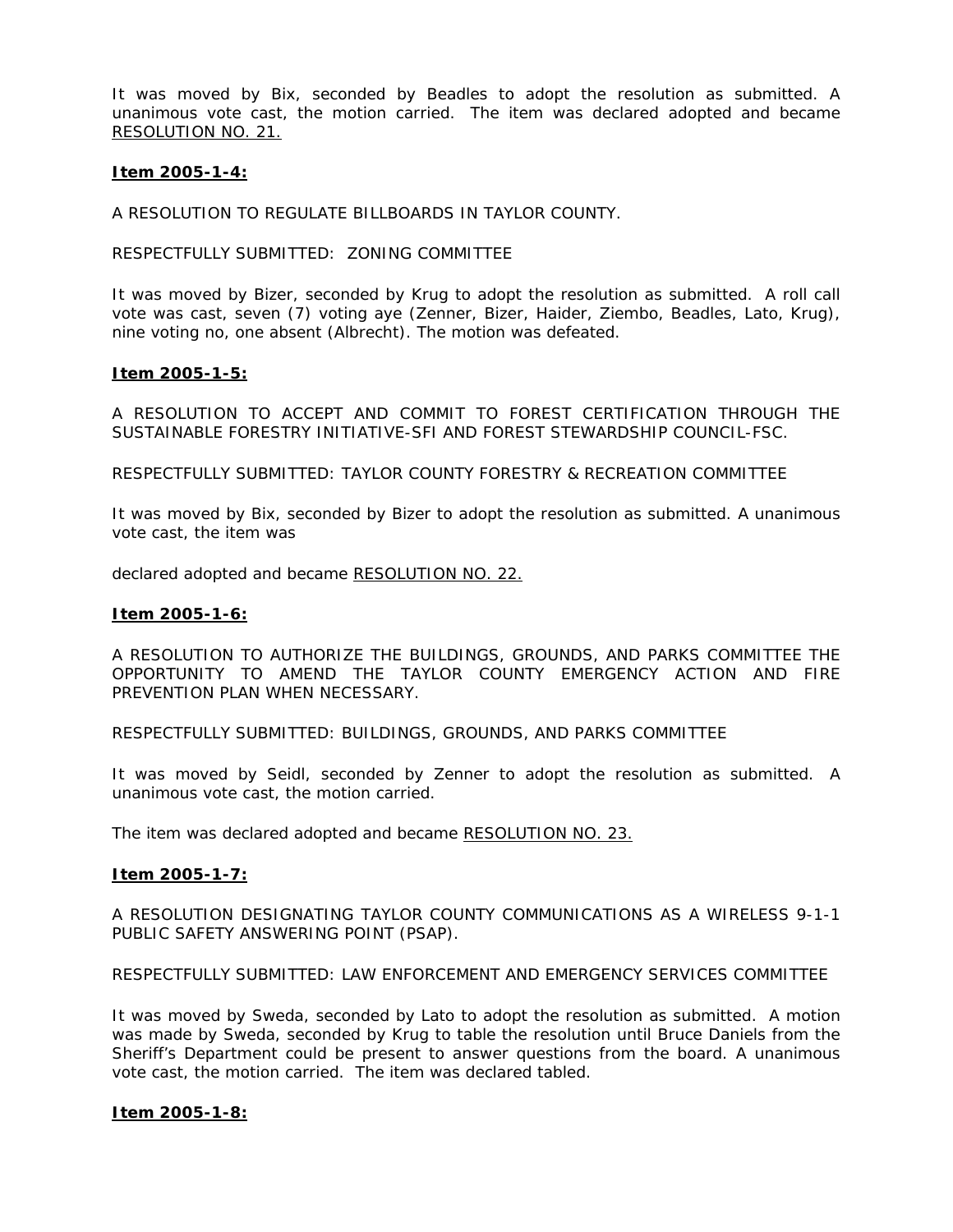It was moved by Bix, seconded by Beadles to adopt the resolution as submitted. A unanimous vote cast, the motion carried. The item was declared adopted and became RESOLUTION NO. 21.

# **Item 2005-1-4:**

A RESOLUTION TO REGULATE BILLBOARDS IN TAYLOR COUNTY.

RESPECTFULLY SUBMITTED: ZONING COMMITTEE

It was moved by Bizer, seconded by Krug to adopt the resolution as submitted. A roll call vote was cast, seven (7) voting aye (Zenner, Bizer, Haider, Ziembo, Beadles, Lato, Krug), nine voting no, one absent (Albrecht). The motion was defeated.

#### **Item 2005-1-5:**

A RESOLUTION TO ACCEPT AND COMMIT TO FOREST CERTIFICATION THROUGH THE SUSTAINABLE FORESTRY INITIATIVE-SFI AND FOREST STEWARDSHIP COUNCIL-FSC.

RESPECTFULLY SUBMITTED: TAYLOR COUNTY FORESTRY & RECREATION COMMITTEE

It was moved by Bix, seconded by Bizer to adopt the resolution as submitted. A unanimous vote cast, the item was

declared adopted and became RESOLUTION NO. 22.

#### **Item 2005-1-6:**

A RESOLUTION TO AUTHORIZE THE BUILDINGS, GROUNDS, AND PARKS COMMITTEE THE OPPORTUNITY TO AMEND THE TAYLOR COUNTY EMERGENCY ACTION AND FIRE PREVENTION PLAN WHEN NECESSARY.

RESPECTFULLY SUBMITTED: BUILDINGS, GROUNDS, AND PARKS COMMITTEE

It was moved by Seidl, seconded by Zenner to adopt the resolution as submitted. A unanimous vote cast, the motion carried.

The item was declared adopted and became RESOLUTION NO. 23.

# **Item 2005-1-7:**

A RESOLUTION DESIGNATING TAYLOR COUNTY COMMUNICATIONS AS A WIRELESS 9-1-1 PUBLIC SAFETY ANSWERING POINT (PSAP).

RESPECTFULLY SUBMITTED: LAW ENFORCEMENT AND EMERGENCY SERVICES COMMITTEE

It was moved by Sweda, seconded by Lato to adopt the resolution as submitted. A motion was made by Sweda, seconded by Krug to table the resolution until Bruce Daniels from the Sheriff's Department could be present to answer questions from the board. A unanimous vote cast, the motion carried. The item was declared tabled.

# **Item 2005-1-8:**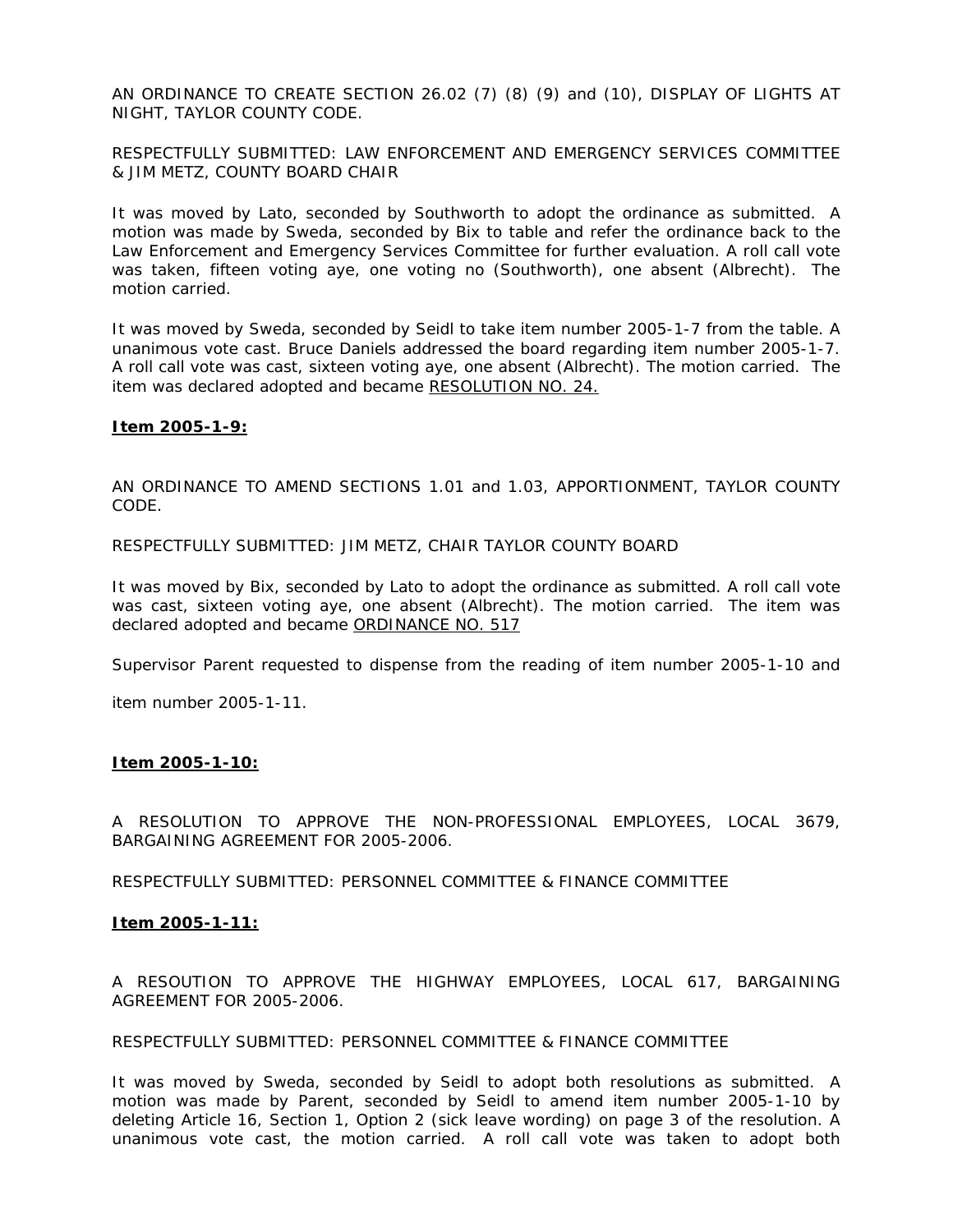AN ORDINANCE TO CREATE SECTION 26.02 (7) (8) (9) and (10), DISPLAY OF LIGHTS AT NIGHT, TAYLOR COUNTY CODE.

RESPECTFULLY SUBMITTED: LAW ENFORCEMENT AND EMERGENCY SERVICES COMMITTEE & JIM METZ, COUNTY BOARD CHAIR

It was moved by Lato, seconded by Southworth to adopt the ordinance as submitted. A motion was made by Sweda, seconded by Bix to table and refer the ordinance back to the Law Enforcement and Emergency Services Committee for further evaluation. A roll call vote was taken, fifteen voting aye, one voting no (Southworth), one absent (Albrecht). The motion carried.

It was moved by Sweda, seconded by Seidl to take item number 2005-1-7 from the table. A unanimous vote cast. Bruce Daniels addressed the board regarding item number 2005-1-7. A roll call vote was cast, sixteen voting aye, one absent (Albrecht). The motion carried. The item was declared adopted and became RESOLUTION NO. 24.

# **Item 2005-1-9:**

AN ORDINANCE TO AMEND SECTIONS 1.01 and 1.03, APPORTIONMENT, TAYLOR COUNTY CODE.

RESPECTFULLY SUBMITTED: JIM METZ, CHAIR TAYLOR COUNTY BOARD

It was moved by Bix, seconded by Lato to adopt the ordinance as submitted. A roll call vote was cast, sixteen voting aye, one absent (Albrecht). The motion carried. The item was declared adopted and became ORDINANCE NO. 517

Supervisor Parent requested to dispense from the reading of item number 2005-1-10 and

item number 2005-1-11.

# **Item 2005-1-10:**

A RESOLUTION TO APPROVE THE NON-PROFESSIONAL EMPLOYEES, LOCAL 3679, BARGAINING AGREEMENT FOR 2005-2006.

RESPECTFULLY SUBMITTED: PERSONNEL COMMITTEE & FINANCE COMMITTEE

# **Item 2005-1-11:**

A RESOUTION TO APPROVE THE HIGHWAY EMPLOYEES, LOCAL 617, BARGAINING AGREEMENT FOR 2005-2006.

RESPECTFULLY SUBMITTED: PERSONNEL COMMITTEE & FINANCE COMMITTEE

It was moved by Sweda, seconded by Seidl to adopt both resolutions as submitted. A motion was made by Parent, seconded by Seidl to amend item number 2005-1-10 by deleting Article 16, Section 1, Option 2 (sick leave wording) on page 3 of the resolution. A unanimous vote cast, the motion carried. A roll call vote was taken to adopt both